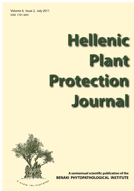Volume 4, Issue 2, July 2011 ISSN 1791-3691

# **Hellenic Plant Protection Journal**



**A semiannual scientific publication of the BENAKI PHYTOPATHOLOGICAL INSTITUTE BE**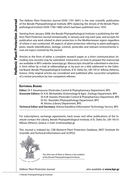The Hellenic Plant Protection Journal (ISSN 1791-3691) is the new scientific publication of the Benaki Phytopathological Institute (BPI) replacing the Annals of the Benaki Phytopathological Institute (ISSN 1790-1480) which had been published since 1935.

Starting from January 2008, the Benaki Phytopathological Institute is publishing the Hellenic Plant Protection Journal semiannually, in January and July each year, and accepts for publication any work related to plant protection in the Mediterranean region regardless of where it was conducted. All aspects of plant protection referring to plant pathogens, pests, weeds (identification, biology, control), pesticides and relevant environmental issues are topics covered by the journal.

Articles in the form of either a complete research paper or a short communication (including new records) may be submitted. Instructions on how to prepare the manuscript are available in BPI's website (www.bpi.gr). Manuscripts should be submitted in electronic form either by e-mail at editors@bpi.gr or by post on a disk addressed to the Editorial Board, Benaki Phytopathological Institute, 8 St. Delta Str., GR-145 61 Kifissia (Athens), Greece. Only original articles are considered and published after successful completion of a review procedure by two competent referees.

# **EDITORIAL BOARD**

**Editor:** Dr F. Karamaouna (Pesticides Control & Phytopharmacy Department, BPI) **Associate Editors:** Dr A.N. Michaelakis (Entomology & Agric. Zoology Department, BPI)

Dr K.M. Kasiotis (Pesticides Control & Phytopharmacy Department, BPI)

Dr N.I. Skandalis (Phytopathology Department, BPI)

M. Kitsiou (Library Department, BPI)

**Technical Editor and Secretary:** Asteria Karadima (Information Technology Service, BPI)

For subscriptions, exchange agreements, back issues and other publications of the Institute contact the Library, Benaki Phytopathological Institute, 8 St. Delta Str., GR-145 61 Kifissia (Athens), Greece, e-mail: m.kitsiou@bpi.gr.

This Journal is indexed by: CAB Abstracts-Plant Protection Database, INIST (Institute for Scientific and Technical Information) and SCOPUS.



The olive tree of Plato in Athens is the emblem of the Benaki Phytopathological Institute

Hellenic Plant Protection Journal also available at **www.bpi.gr**

© Benaki Phytopathological Institute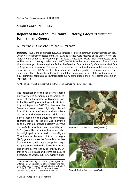# SHORT COMMUNICATION

# **Report of the Geranium Bronze Butterfl y,** *Cacyreus marshalli*  **for mainland Greece**

# A.F. Martinou<sup>1</sup>, D. Papachristos<sup>2</sup> and P.G. Milonas<sup>1</sup>

**Summary** In July and September 2010, two samples of infested geranium plants (*Pelargonium spp.*), which were originally collected from Kifissia, Attica-Greece, were received at the Laboratory of Biological Control at Benaki Phytopathological Institute, Greece. Larvae were taken from infested plants and kept under laboratory conditions at 25±1°C, 70±5% RH and under a photoperiod of 16L:8D h until adults emerged. Adults were identified as the Geranium Bronze Butterfly, Cacyreus marshalli Butler (Lepidoptera: Lycaenidae). This species is recorded for the first time for mainland Greece. Cacyreus marshalli is on the EPPO A2 List of pests recommended for the regulation as quarantine pests. Geranium Bronze Butterfly has the potential to establish in Greece and the rest of the Mediterranean basin as climatic conditions can allow this pest to overwinter outdoors and its host plants are commonly propagated.

Additional keywords: biodiversity, butterfly, geranium, invasive, Pelargonium spp.

The identification of the species was based on two infested geranium plant samples received at the Laboratory of Biological Control at Benaki Phytopathological Institute in July and September 2010. The plant samples (leaves and stems) were originally collected from Kifissia, Attica-Greece and were kept at 25±1°C and 70±5% RH until adult emergence. Based on the adult morphological characteristics, the species was identified as the Geranium Bronze Butterfly Cacyreus marshalli (Lepidoptera: Lycaenidae) (Figures 1, 2). Eggs of the Geranium Bronze are whitish to light-yellow or brown in colour (Figure 3); 0.5 mm in diameter x 0.3 mm in height (2). Eggs are laid near the flower buds or less frequently on the leaves. Caterpillars (Figure 4) are found within the flower buds or inside the stem, where they bore through. Entrance holes in buds and stems are easy to detect. Once attacked, the stems turn black-



**Figure 1.** Adult of Cacyreus marshalli (upperside).



**Figure 2.** Adult of Cacyreus marshalli (underside).

Laboratories of Biological Control (1) and Agricultural Entomology (2), Department of Entomology and Agricultural Zoology, Benaki Phytopathological Institute, 8 St. Delta Str., GR-145 61 Kifissia (Athens), Greece. Corresponding author: af.martinou@gmail.com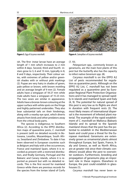

ish. The first- instar larvae have an average length of 1 mm which increases to 2 mm within 8 days. Second, third and fourth- instars grow to 3, 6 and 13 mm, typically in 8, 8 and 9 days, respectively. Their colour varies, with extremes of yellow and/or greenish shades with or without pink markings (2). Pupae are very hairy in shades of green, pale-yellow or brown, with brown mottling and an average length of 9 mm (2). Female adults have a wingspan of 18-27 mm while male adults have a wingspan of 15-23 mm. The two sexes are similar in appearance. Adults have a bronze-brown colouring at the upper surface with white spots on the fringe and highly-patterned undersides. They also bear substantial tails on their hindwings, along with a nearby eye spot, which diverts attacks from birds and other predators away from the critical body parts.

The species is indigenous to Southern Africa (2). According to the EPPO distribution maps of quarantine pests, C. marshalli is present (with no detailed records) in Botswana, Lesotho, Mozambique, South Africa, Swaziland and Zimbabwe. To date it has been observed in European countries such as Belgium and Italy with a few occurrences, France and mainland Spain, where it is recorded as present with a restricted distribution, and finally Germany, Portugal and the Balearic and Canary islands, where it is reported as present but with no detailed records. This is the first record for mainland Greece while there are previous records for the species from the Ionian island of Corfu



**Figure 3.** Egg of Cacyreus marshalli. **Figure 4.** Caterpillars of Cacyreus marshalli.

### (7, 10).

Pelargonium spp., commonly known as geraniums, are the main host plants of this pest but the butterfly also has the capacity to infest native Geranium spp. (8).

Cacyreus marshalli is on the EPPO A2 List of pests recommended for regulation as quarantine pests. Although on the EPPO A2 List, C. marshalli has not been regulated as a quarantine pest by European Regional Plant Protection Organizations and it has managed to spread rapidly in islands and mainland Spain and Italy (4, 9). The potential for natural spread of this pest is very low as its flights are short in duration with frequent rests (3). The most likely means of international dispersal is the movement of infested plant material. The example of the rapid establishment of C. marshalli on Mallorca (Balearic Islands) and its spread to the Spanish mainland shows that the pest has the potential to establish in the Mediterranean basin and could pose a threat for the European mainland. Geraniums are extensively grown as ornamental plants almost throughout Europe, but Spain, France, Italy and Greece, as well as North Africa, are at greater risk since their climatic conditions would allow the pest to overwinter outdoors. Furthermore, breeding and propagation of geraniums play an important role in these regions. Elsewhere in Europe, the pest could establish in glasshouses (1).

Cacyreus marshalli has never been re-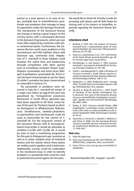ported as a pest species in its area of origin, probably due to autochthonous parasitoids and predators that manage to keep its population under the damage threshold. The introduction of the Geranium Bronze into Europe is having a great impact on the nursery sector, with a consequent decrease in the demand of geraniums, which are ever more often replaced by customers with other ornamental plants. Furthermore, the Geranium Bronze could cause problems in the mountainous and hilly habitats where wild Geranium spp. commonly exist. Adaptation of C. marshalli in these habitats could threaten the native flora and biodiversity through competition with other species such as Eumedonia eumedon (Esper) (Lepidoptera: Lycaenidae) and Aricia nicias (Meigen) (Lepidoptera: Lycaneidae) (8). Aricia nicias has been characterized as rare for Spain (5) while E. eumedon has been characterized as vulnerable in Greece (11).

No parasitoids or predators were observed in Italy for C. marshalli (4) except of a single case where an egg of the pest was parasitized by Trichogramma evanescens Westwood. In South Africa, Apanteles spp. have been reported to kill third- instar larvae of the pest (2). Products based on Bacillus thuringiensis or diflubenzuron, flufenoxuron, hexaflumuron, lambda-cyhalothrin, α-cypermethrin and benfuracarb could be used as insecticides for the control of C. marshalli (9). For the long-term control of the Geranium Bronze with B. thuringiensisbased insecticides it would be advisable to combine Cry1Ab with Cry1Ba (6). It would be wise to start a monitoring programme for this pest in Pelargonium spp. nurseries as well as in urban resident areas of mainland Greece and the islands where these plants are widely used in gardens and in balconies. Additionally, surveys could be undertaken in the monitored areas in order to identify predators or parasitoids that could be used as potential biocontrol agents for this pest.

We would like to thank Mr Timothy Cowles for providing with photos and Mr Rob Parker for sharing with us his interest on butterflies, especially regarding the Geranium Bronze Butterfly.

# **Literature cited**

- 1. Baufeld, P. 1993. Pest risk analysis of Cacyreus marshalli from a phytosanitary point of view. Nachrichtenblatt des Deutschen Pflanzenschutzdienstes, 45: 257-262.
- 2. Clark, G.C. and Dickson, C.G.C. 1971. Life histories of the South African lycaenid butterflies, pp. 60-61. Purnell, Cape Town, South Africa.
- 3. Eitschberger, U. and Stamer, P. 1990. Cacyreus marshalli, a new species of butterfly for the fauna of Europe? Atalanta, 21: 101-108.
- 4. Favilli, L. and Manganelli, G. 2006. Life history of Cacyreus marshalli, a South African species recently introduced into Italy. Bollettino della Societa Entomologica Italiana, 138: 51–61.
- 5. Gärdenfors, U. 2005. Rödlistade arter i Sverige 2005. The 2005 Red List of Swedish Species. 496 pp. ArtDatabanken, SLU, Uppsala.
- 6. Herrero, S., Borja, M. and Ferre´, J. 2002. Extent of Variation of the Bacillus thuringiensis Toxin Reservoir: the Case of the Geranium Bronze, Cacyreus marshalli Butler (Lepidoptera: Lycaenidae). Applied and Environmental Microbiology, 68: 4090–4094.
- 7. Parker, R. 2010. Cacyreus mashalli Butler, 1898 (Lepidoptera, Lycaenidae) newly recorded for Corfu, with notes on other butterflies on the island in September 2008. Entomologist's Gazette, 61: 40-42.
- 8. Quacchia, A., Ferracini, C., Bonelli, S., Balletto, E. and Alma, A. 2008. Can the Geranium Bronze, Cacyreus marshalli, become a threat for European biodiversity? Biodiversity and Conservation, 17: 1429-1437.

### **Web sites**

- 9. http://dc.eppo.org/
- 10. http://www.pamperis.gr/THE\_BUTTERFLIES\_OF\_ GREECE/Nees\_anaphores\_New\_records.html
- 11. http://filotis.itia.ntua.gr/species/d/6642/5. Gärdenfors

Received: 8 November 2010 ; Accepted: 1 June 2011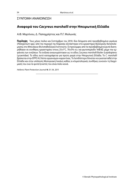# ΣΥΝΤΟΜΗ ΑΝΑΚΟΙΝΩΣΗ

# **Αναφορά του** *Cacyreus marshalli* **στην Ηπειρωτική Ελλάδα**

Α.Φ. Μαρτίνου, Δ. Παπαχρήστος και Π.Γ. Μυλωνάς

**Περίληψη** Τους μήνες Ιούλιο και Σεπτέμβριο του 2010, δύο δείγματα από προσβεβλημένα γεράνια (Pelargonium spp.) από την περιοχή της Κηφισιάς εξετάστηκαν στο εργαστήριο Βιολογικής Καταπολέμησης στο Μπενάκειο Φυτοπαθολογικό Ινστιτούτο. Οι προνύμφες από τα προσβεβλημένα φυτά διατηρήθηκαν σε συνθήκες εργαστηρίου στους 25±1°C, 70±5% σ.υ. και φωτοπερίοδο 16Φ:8Σ μέχρι την εμφάνιση των ενηλίκων. Τα ενήλικα αναγνωρίστηκαν ως το είδος Cacyreus marshalli Butler (Lepidoptera: Lycaenidae). Το είδος αυτό καταγράφεται για πρώτη φορά στην Ηπειρωτική Ελλάδα. Το C. marshalli βρίσκεται στην EPPO A2 λίστα οργανισμών καραντίνας. Το λεπιδόπτερο δύναται να εγκατασταθεί στην Ελλάδα και στην υπόλοιπη Μεσογειακή λεκάνη καθώς οι κλιματολογικές συνθήκες ευνοούν τη διαχείμαση του ενώ τα φυτά ξενιστές του είναι πολύ κοινά.

Hellenic Plant Protection Journal **4:** 31-34, 2011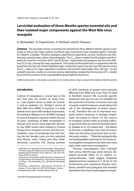# **Larvicidal evaluation of three** *Mentha* **species essential oils and their isolated major components against the West Nile virus mosquito**

A. Michaelakis<sup>1</sup>, D. Papachristos<sup>1</sup>, A. Kimbaris<sup>2</sup> and M. Polissiou<sup>3</sup>

**Summary** The larvicidal activity of essential oils derived from three different Mentha species (Lamiaceae) as well as their major aroma p-menthane type components were evaluated against Culex pipiens (Diptera: Culicidae). Therefore, pulegone, piperitenone, piperitone, carvone, menthone and menthol were isolated using column chromatography. The  $LC_{10}$  values revealed that M. pulegium and M. piperita oils were the most toxic (46.97 and 40.28 mgl<sup>-1</sup> respectively) and pulegone was the most effective (27.23 mg|-1) among the major ingredients. The activity of all essential oils is in agreement with the proportion/toxicity rate of their individual major components, apart from the case of M. piperita where the LC<sub>50</sub> values of its major ingredients menthone and menthol stand higher than 100 mgl<sup>-1</sup>. For the isolated molecules, studies on structure activity relationships revealed that the location of C-C double bond and the presence of the isopropylidene group might be key factors.

Additional keywords: Culex pipiens, essential oil, larvicidal activity, major components isolation, Mentha species

# **Introduction**

Control of mosquitoes is crucial due to the fact that they are vectors of many viruses. Culex pipiens serves as both an enzootic and an epidemic (i.e. "bridge") vector of West Nile Virus (WNV) to humans, is a wide spread insect pest with medical importance. According to Bakonyi et al. (4) WNV emerged in several European countries within the last 50 years. Outbreaks of WNV encephalitis in humans and horses were reported. Recently, new WNV strains were isolated in Central Europe from mosquito vectors and from encephalitic cases of vertebrate host (18). During the last decade cases are also reported from Russia, Israel, Turkey and other Mediterranean countries (10). During summer of 2010, hundreds of people were seriously affected from WNV and more than 30 died in Northern Greece (18). Currently specific treatment and vaccines are not available for the protection of horses or humans and only mosquito control measures could reduce the risk of the development of serious diseases (6). Therefore the use of improved mosquito control measures is strongly emphasized. According to Floore (11) the success of mosquito control relies on product efficacy and tools that are environmentally friendly. Shaalan et al. (21) stated that ".. the failure to discover a significant new class of insecticides has led many researchers back to biodiscovery studies…". Plant derived pesticides are biodegradable and may be the future arsenal against mosquitoes but there are many topics that need more investigation.

Previous investigations have indicated that various Mentha spp. plant extracts displayed larvicidal effect on Cx. pipiens, Cx. quinquefasciatus, Aedes aegypti, Anopheles stephensi and An. tesselatus (2, 3, 19, 20, 22, 23). Furthermore, pure substances (thymol, menthone, menthol and pulegone) and menthol derivatives have been tested against mosqui-

<sup>1</sup> Laboratory of Agricultural Entomology, Department of Entomology and Agricultural Zoology, Benaki Phytopathological Institute, 8 St. Delta Str., GR-145 61 Kifissia (Athens), Greece

<sup>2</sup> Laboratory of Chemistry & Biochemistry, Department of Agricultural Development, Democritus University of Thrace, 193 Pantazidou Str., GR-682 00 Orestiada, Greece

<sup>&</sup>lt;sup>3</sup> Chemistry Laboratories, Agricultural University of Athens, 75 Iera Odos Str., GR-118 55 Athens, Greece Corresponding author: kimparis@agro.duth.gr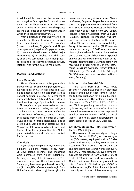to adults, while menthone, thymol and carvacrol against Culex species for larvicidal activity (20, 23). These substances are known active ingredients not only of Mentha species essential oils but also of many other plants, in which their concentrations vary (7).

Main objectives of this study were: a) to evaluate the efficacy of essential oils derived from three Mentha species, M. pulegium (three populations), M. piperita and M. spicata (spearmint) against Cx. pipiens larvae, b) to isolate and evaluate essential oil major components, c) to correlate larvicidal activity of isolated components with their precursor oils and d) to study the structure activity relationships for the isolated molecules.

# **Materials and Methods**

### **Plant Materials**

Three different species of the genus Mentha were used: M. pulegium (pennyroyal), M. piperita (mint) and M. spicata (spearmint). All plant materials were collected from various natural habitats in Greece by members of our team, between July and August 2007 in the flowering stage. Specifically, in the case of M. pulegium samples were collected from three populations according to their geographical origin, the first one from Orestiada (North-East of Greece, named as PUL1), the second from Karditsa (center of Greece, PUL2) and the third from Heraklion (Island of Crete, PUL3). Samples of M. spicata (SP) and M. piperita (PIP) were purchased from local farmers from the region of Karditsa. All five plant materials were air dried and stocked for further use.

# **Chemicals**

R-(+)-pulegone, terpinen-4-ol, β-farnesene, α-pinene, β-pinene, mesityl oxide, methyl vinyl ketone, menthol and menthone were purchased from Aldrich (Steinheim, Germany). Eucalyptol, β-myrcene, S-(-)-limonene, γ-terpinene, thymol, carvacrol and β-caryophyllene were purchased from Sigma (St. Louis, USA). Carvone was bought from Fluka (Steinheim, Germany). 3-methyl cyclohexanone were bought from Jansen Chimica (Beerse, Belgium). Terpinolene, iso-menthone and piperitone were purchased from Extra Synthese (Genay, France). Diethyl ether (BHT free) was purchased from SDS (Cedex, France). Pentane was bought from Lab-Scan (Doublin, Ireland). Piperitenone was prepared according to literature synthetic procedure (5), due to commercial unavailability. Purity of the isolated product (97.3%) was estimated according to GC-MS analytical conditions given bellow. Structural characterization that was accomplished by mass spectral analysis and NMR experiments was in agreement to literature data (5). NMR spectra were recorded on Brucer Avance DRX-500 instrument. Potassium hydroxide, tetrahydrofuran (THF), silica gel 60G and TLC plates (silica gel 60, F254) were purchased from Merck (Darmstadt, Germany).

### **Isolation of the Essential Oils**

Aerial parts from PUL1, PUL2, PUL3, SP and PIP were powdered in an electrical blender and 1 Kg of each sample submitted to hydrodistillation for 4 h in a Clevenger-type apparatus. The obtained essential oils, named as EOpul1, EOpul2, EOpul3, EOsp and EOpip respectively, were dried over anhydrous magnesium sulfate. After filtration their volume were calculated and expressed as ml of essential oil/100 g of dry material (Table 1) and finally stored in labeled sterile screw capped bottles at -22°C until use.

# **Gas chromatography – Mass spectrometry (GC-MS) analysis**

The essential oils were analyzed using a Hewlett Packard II 5890 gas chromatography (GC) system, equipped with a FID detector and HP-5ms capillary column (30 m x 0.25 mm, film thickness 0.25 μm). Injector and detector temperatures were set at 220°C and 290°C, respectively. GC oven temperature was programmed from  $60^{\circ}$ C to 240 $^{\circ}$ C at a rate of  $3^{\circ}$ C /min and held isothermally for 10 min. Helium was the carrier gas at a flow rate of 1 ml/min. Diluted samples (1/100 in diethyl ether, mgl<sup>-1</sup>) of 1.0 μl were injected manually and in the splitless mode. Quan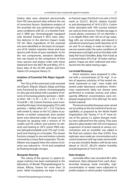titative data were obtained electronically from FID area percent data without the use of correction factors. Qualitative analysis of the essential oils was performed using the same conditions with GC, in a Hewlett Packard II 5890 gas chromatograph equipped with Hewlett Packard II 5972 mass selective detector in the electron impact mode (70 eV). Most ingredients of the essential oils were identified on the basis of comparison of GC relative retention times and mass spectra with those of pure standards. As for the rest components, tentative identification was based on the comparison of their mass spectra and elution order with those obtained from the NIST 98 and Wiley 275 library data of the GC-MS system and from Adams CD computer library (1).

# **Isolation of Essential Oils Major Ingredients**

Ten (10) g of the extracted crude essential oils EOpul1, EOpul2, EOpul3, EOpip and EOsp were fractioned by column chromatography on silica gel and eluted with a gradient of solvents of increasing polarity (pentane + diethyl ether: 100 + 0, 97 + 3, 95 + 5, 93 + 7, 90 + 10 and 80 + 20). Column fractions were monitored by thin layer chromatography (TLC) with pentane + diethyl ether  $(9.5 + 0.5)$ . Fractions with similar  $\mathsf{R}_{\mathsf{f}}$  values on the TLC plates to authentic co-eluted compounds were pooled. Spots were detected under UV lamp and afterwards by spraying with a mixture of 1% vanillin and 5% sulfuric acid solution (in ethanol) and heating at 120°C and/or PMA solution (phosphomolybdic acid 7.5% mgl<sup>-1</sup> in ethanol) and charring on a hot plate. The chosen fractions merged to one and elution solvents removed by a rotary flash evaporator. The distillation was stopped when the volume of solvents was reduced to ~10 ml and completed by flushing through nitrogen.

### **Mosquito Rearing**

The colony of the species Cx. pipiens biotype molestus has been maintained in the laboratory of Benaki Phytopathological Institute, Kifissia, Greece for more than 25 years. Adult mosquitoes are kept in wooden framed cages (33x33x33 cm) with a 32x32 mesh at 25±2°C, 80±2% relative humidity and photoperiod of 14:10 (L:D) h. Cotton wicks saturated with 10% sucrose solution are used as food source. Females lay eggs in round, plastic containers (10 cm diameter x 5 cm depth) filled with 150 ml of tap water. Egg rafts are removed daily and placed in cylindrical enamel pans (with diameter of 35 cm and 10 cm deep), in order to hatch. Larvae are reared under the same conditions of temperature and light and are fed daily with baby fish food (TetraMin, Baby Fish Food) at a concentration of 0.25 gl<sup>-1</sup> of water until pupation. Pupae are then collected and introduced into the adult rearing cages.

### **Larvicidal Bioassays**

Stock solutions were prepared in ethanol with a concentration of 1% mgl<sup>-1</sup>. A series of aqueous solutions of the tested material, expressed as mgl<sup>-1</sup>, were made and tested under laboratory conditions. Preliminary experiments (data not shown) were performed to evaluate toxicity and subsequently different concentrations were employed ranging from 10 to 200 mgl-1 for each tested material.

The larval mortality bioassays were carried out according to the test method of larval susceptibility as proposed by the World Health Organization (24). Twenty  $3<sup>rd</sup>$  to  $4<sup>th</sup>$  instar larvae of the species Cx. pipiens biotype molestus were collected from the colony. They were placed in glass beaker with 250 ml of aqueous suspension of tested material at various concentrations and an emulsifier was added in the final test solution (less than 0.05%). Four replicates were made per concentration and a control treatment with tap water and emulsifier was also included. Beakers with larvae were placed at  $25\pm2$ °C,  $80\pm2\%$  relative humidity and photoperiod of 14:10 (L:D) h.

### **Data Analysis**

Larvicidal effect was recorded 48 h after treatment. Data obtained from each dose– larvicidal bioassay (total mortality, mgl<sup>-1</sup> concentration in water) were subjected to probit analysis in which probit–transformed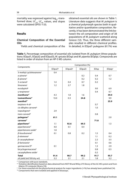| mortality was regressed against log <sub>10</sub> -trans-<br>formed dose; $LC_{50'}$ , $LC_{90}$ values, and slopes<br>were calculated (SPSS 11.0). | obtained essential oils are shown in Table 1.<br>Literature data suggests that M. pulegium is<br>a chemical polymorph species both in qual-<br>itative and/or quantitative composition. Re- |
|-----------------------------------------------------------------------------------------------------------------------------------------------------|---------------------------------------------------------------------------------------------------------------------------------------------------------------------------------------------|
| <b>Results</b>                                                                                                                                      | cently, it has been demonstrated the link be-<br>tween the oil composition and origin of 38<br>populations of M. pulegium scattered along                                                   |
| <b>Chemical Composition of the Essential</b><br>Oils<br>Yields and chemical composition of the                                                      | Greece (12). Thus, the three different sam-<br>ples resulted in different chemical profiles.<br>In detailed, in EOpul1 pulegone (61.1%) was                                                 |

Table 1. Percentage composition of essential oils isolated from *M. pulegium* (three populations: EOpul1, EOpul2 and EOpul3), M. spicata (EOsp) and M. piperita (EOpip). Compounds are listed in order of elution from an HP-5 MS column.

|                                     | Composition (%)     |                     |        |      |                    |  |
|-------------------------------------|---------------------|---------------------|--------|------|--------------------|--|
| Components                          | EOpul1 <sup>c</sup> | EOpul2 <sup>c</sup> | EOpul3 | EOsp | EOpip <sup>c</sup> |  |
| 3-methyl cyclohexanone <sup>a</sup> | 0.4                 |                     |        |      |                    |  |
| $\alpha$ -pinene <sup>a</sup>       |                     |                     | 0.2    | 0.4  | 0.7                |  |
| $\beta$ -pinene <sup>a</sup>        |                     |                     | 0.2    | 0.2  | 1.2                |  |
| 3-octanol <sup>a</sup>              | 1.4                 | 0.4                 | 0.7    | 0.2  |                    |  |
| limonene <sup>a</sup>               | 1.2                 | 2.7                 | 1.8    |      |                    |  |
| eucalyptol <sup>a</sup>             |                     |                     |        | 9.0  | 6.9                |  |
| γ-terpinene <sup>a</sup>            |                     |                     |        | 0.4  | 0.7                |  |
| menthone <sup>a*</sup>              | 4.3                 | 1.8                 | 1.6    |      | 39.0               |  |
| isomenthone <sup>a*</sup>           | 13.0                | 0.3                 | 24.8   |      | 9.9                |  |
| menthol <sup>a*</sup>               |                     |                     |        |      | 25.9               |  |
| terpinen-4-ol <sup>a</sup>          |                     |                     |        | 0.7  |                    |  |
| cis-dihydro carvone <sup>b</sup>    |                     |                     |        | 1.0  |                    |  |
| isopulegone <sup>b</sup>            | 2.9                 |                     |        |      |                    |  |
| trans-carveol <sup>b</sup>          |                     |                     |        | 0.8  |                    |  |
| pulegone <sup>a*</sup>              | 61.1                |                     |        |      | 2.0                |  |
| carvone <sup>a*</sup>               |                     |                     |        | 71.8 |                    |  |
| piperitone <sup>a*</sup>            | 1.1                 | 92.6                | 69.3   |      | 1.3                |  |
| piperitenone <sup>a*</sup>          | 4.0                 | 0.1                 | 0.4    |      |                    |  |
| piperitenone oxide <sup>b</sup>     | 1.8                 |                     |        |      |                    |  |
| $\beta$ -bourbonene <sup>b</sup>    | 0.1                 | 0.8                 | 0.2    | 1.5  | 0.4                |  |
| $\beta$ -elemeneb                   |                     |                     |        | 1.1  | 0.2                |  |
| $\beta$ -caryophyllene <sup>a</sup> |                     |                     |        | 2.2  | 3.5                |  |
| $\beta$ -farnesene <sup>a</sup>     |                     |                     |        | 0.1  | 0.6                |  |
| germacrene D <sup>b</sup>           | 0.1                 |                     |        | 1.3  | 2.9                |  |
| bicyclogermacrene <sup>b</sup>      |                     |                     |        | 0.8  | 0.5                |  |
| caryophyllene oxide <sup>a</sup>    |                     |                     |        | 0.2  |                    |  |
| <b>Total</b>                        | 91.4                | 98.7                | 99.2   | 91.7 | 95.7               |  |
| oil yield (ml/100 dry wt)           | 2.2                 | 2.1                 | 2.1    | 1.8  | 3.2                |  |

<sup>a</sup> Comparison with pure standards.<br><sup>b</sup> Tentative identification based on data obtained from NIST 98 and Wiley 275 library of the GC-MS system and from Adams CD computer library (16).<br>
C For these essential oils the phytochemical analysis for major ingredients (>1%) has already been published (14).

\* Components that were isolated and applied in bioassays.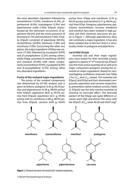the most abundant ingredient followed by isomenthone (13.0%), menthone (4.3%), piperitenone (4.0%), isopulegone (2.9%) and piperitenone oxide (1.8%). EOpul2 characterized by the dominant occurrence of piperitone (92.6%) and the minor presence of limonene (2.7%) and menthone (1.8%). Finally, EOpul3 consisted of piperitone (69.3%), isomenthone (24.8%), limonene (1.8%) and menthone (1.6%). Concerning the other two plants, the major ingredient of EOsp was carvone (71.8%) followed by eucalyptol (9.0%) and  $\beta$ -caryophyllene (2.2%) among others, while EOpip consisted of menthone (39.0%) and menthol (25.9%) with minor components isomenthone (9.9%), eucalyptol (6.9%) and β-caryophyllene (3.5%) among other less abundant ingredients.

### **Purity of the isolated major ingredients**

The purity of the isolated components was determined by GC-MS analysis and is given as follows: pulegone (5.45 g, 99.2% purity) and piperitenone (0.38 g, 98.6% purity) from EOpul1, piperitone (8.63 g, 99.5% purity) from EOpul2, piperitone (6.21 g, 99.4% purity) and iso-menthone (1.86 g, 98.9% purity) from EOpul3, carvone (6.05 g, 99.6%

purity) from EOpip and menthone (3.16 g, 99.2% purity) and menthol (2.17 g, 99.0% purity) from EOsp. Pulegone, piperitenone, piperitone, isomenthone, carvone, menthone and menthol have been isolated in high purities and their chemical structures are given in Figure 1. Although piperitenone does not constitute a major ingredient, it has also been isolated due to the fact that it is structurally similar to pulegone and piperitone.

### **Larvicidal Assays**

Essential oils and their major ingredients were tested for their larvicidal activity against Cx. pipiens 3<sup>rd</sup>-4<sup>th</sup> instar larvae. EOpul1 was the most active essential oil as well as its major component pulegone among the essential oil major ingredients (based on nonoverlapping confidence intervals) (see Table 2 for  $LC_{50}$  and  $LC_{90}$  values). The essential oils EOpul2 and EOsp and their dominated compounds, piperitone and carvone respectively, presented a rather medium activity (Table 2). EOpul3 was the only inactive essential oil showing no larvicidal effect. The larvicidal pattern of the EOpip was quite different: LC values were high and almost the same with the EOpul1 (LC $_{50}$  value 40.28 and 46.97 mgl<sup>-1</sup>



**Figure 1.** Chemical structures of essential oils' isolated components.

<sup>©</sup> Benaki Phytopathological Institute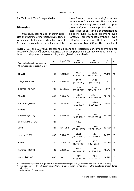for EOpip and EOpul1 respectively).

# **Discussion**

In this study, essential oils of Mentha species and their major ingredients were tested with respect to their larvicidal effect against Cx. pipiens mosquitoes. The selection of the three Mentha species, M. pulegium (three populations), M. piperita and M. spicata, was based on obtaining essential oils that possessed different chemical profiles. The isolated essential oils can be characterized as pulegone type (EOpul1), piperitone type (EOpul2), piperitone-isomenthone type (EOpul3), menthone-menthol type (EOpip) and carvone type (EOsp). These results of

**Table 2.** LC<sub>50</sub> and LC<sub>90</sub> values for essential oils and their isolated major components against larvae of Culex pipiens biotype molestus. Major components percentage composition, in relation to their precursor essential oils, is also given in parenthesis.

| Essential oil / Major components | n <sup>c</sup> | Slope $(\pm$ SE) | $LC_{50}$<br>(95% CL) <sup>a</sup> | $LC_{90}$<br>(95% CL) <sup>a</sup> | $X^2$               | df |
|----------------------------------|----------------|------------------|------------------------------------|------------------------------------|---------------------|----|
| (% composition in essential oil) |                |                  |                                    |                                    |                     |    |
| EOpul1                           | 400            | $4.93 \pm 0.53$  | 46.97<br>$(43.92 - 50.73)$         | 85.42<br>$(74.51 - 104.51)$        | 15.440              | 18 |
| pulegone (61.1%)                 | 400            | $4.87 \pm 0.52$  | 27.23<br>$(24.39 - 29.7)$          | 49.91<br>$(45.4 - 56.61)$          | 12.402              | 15 |
| piperitenone (4.0%)              | 320            | $5.16 \pm 0.55$  | 75.91<br>$(72.54 - 79.2)$          | 97.31<br>$(92.16 - 104.84)$        | 5.909               | 10 |
| EOpul2                           | 480            | $8.84 \pm 0.94$  | 168.59<br>$(157.76 - 182.99)$      | 235.44<br>$(209.67 - 293.82)$      | 37.275 <sup>b</sup> | 16 |
| Piperitone (92.6%)               | 320            | $8.47 \pm 0.9$   | 131.91<br>$(112.92 - 155.81)$      | 186.84<br>$(157.64 - 287.79)$      | 47.024 <sup>b</sup> | 10 |
| EOpul3                           | 320            |                  | >200                               |                                    |                     |    |
| piperitone (69.3%)               | 400            | $8.32 \pm 0.83$  | 129.51<br>$(118.78 - 142.17)$      | 178.98<br>$(159.16 - 223.33)$      | 35.466 <sup>b</sup> | 13 |
| isomenthone (24.8%)              | 320            |                  | > 200                              |                                    |                     |    |
| <b>EOsp</b>                      | 320            | 10.66±1.19       | 95.9<br>$(80.44 - 107.13)$         | 126.46<br>$(112.57 - 162.87)$      | 43.362 <sup>b</sup> | 10 |
| carvone (71.8%)                  | 400            | $5.54 \pm 0.68$  | 95.31<br>$(84.58 - 106.77)$        | 162.31<br>$(137.02 - 228.97)$      | 26.735              | 13 |
| <b>EOpip</b>                     | 480            | 22.29±0.22       | 40.28<br>$(30.9 - 50.56)$          | 146.17<br>$(105.4 - 252.54)$       | 44.197 <sup>b</sup> | 19 |
| menthone (39.0%)                 | 480            | $9.29 \pm 0.92$  | 111.11<br>$(104.54 - 116.67)$      | 152.63<br>$(145.23 - 162.51)$      | 18.942              | 16 |
| menthol (25.9%)                  | 400            | $8.6 \pm 1.31$   | 120.97<br>$(105.35 - 130.02)$      | 170.45<br>$(157.72 - 199.31)$      | 20.977              | 13 |

<sup>a</sup> LC values are expressed in mgl<sup>-1</sup> and they are considered significantly different when 95% CL fail to overlap.

<sup>b</sup> Since goodness-of-fit test is significant (P<0.05), a heterogeneity factor is used in the calculation of confidence limits (CL).

c Total number of larvae tested.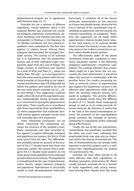phytochemical analysis are in agreement with literature data (13, 17).

Essential oils are a mixture of different ingredients, mostly terpenes, which in the analysed Mentha spp. essential oils included pulegone, piperitone, isomenthone, carvone, menthone and menthol and they are comparable to findings in the literature (8, 13). Besides menthone, the rest isolated ingredients were evaluated for the first time against Cx. pipiens larvae. Among them, pulegone demonstrated the strongest larvicidal activity. The activity of all essential oils is in agreement with the proportion/ toxicity rate of their individual major components, apart from the case of EOpip. The EOpip consists of menthone and menthol (in a total of 65%) and their  $LC_{50}$  values are higher than 100 mgl<sup>-1</sup>, so it was expected to have the same toxicity pattern with the maternal essential oil. According to our experimental and literature data (10) EOpip did not follow this pattern and found to be one of the two most drastic essential oils ( $LC_{50}$  value near 40mgl<sup>-1</sup>). Two suggestions could be made: either the rest of the ingredients possess independently strong larvicidal ability or some kind of synergistic phenomenon took place. These results are in accordance with those reported by Amer and Mehlhorn (2) where peppermint had moderate larvicidal activity against mosquito larvae (near 53% mortality after 24 h treatment).

Some interesting conclusions can be drawn concerning the relationship between the structure of the isolated  $p$ -menthane compounds and their larvicidal effect against Cx. pipiens. Although, pulegone and piperitone are isomers, the first is 5-fold more active than the later. This differentiation probably stands on account of the location of the C-C double bond that these two molecules contain. We assume that in pulegone the C-C double bond position on the chain group (isopropylidene versus isopropyl group) enhances the toxicity. This hypothesis is strengthened by the case of piperitenone, where toxicity ranges between pulegone and piperitone. Piperitenone is structurally similar to both aforementioned molecules. Particularly, it combines all of the former molecules characteristics to one structure as it bares two double bonds, where the first one is internal at the cyclohexane ring (resembling to piperitone) and the second one external (resembling to pulegone). Therefore, two arguments can be made: either piperitenone's internal double bond reduces the total toxicity or its external double bond increases the toxicity. In any case, toxicity seems to be in direct connection to carbon-carbon double bond's position.

The effectiveness order of the above mentioned molecules, compared to menthone (saturated cetone), is the following: pulegone> piperitenone > menthone > piperitone. This ranking indicates that unsaturation might be a key factor but not necessarily the most determinant; it should be taken into account in combination with the position factor. Our results concerning carvone (a molecule isomer to piperitenone) also support this hypothesis: carvone is less effective than piperitenone while both of them are showing reduced toxicity compared to pulegone. This activity differentiation probably results from the different location of C-C double bond (isopropenyl group) as well as to its endo-exocyclic dienone character. By inference, it seems that in the case of the tested monoterpene cetones, the presence of the isopropylidene group increases the strength of larvicity, comparing to isopropenyl and/or isopropyl group effectiveness.

Finally, the use of the two enantiomers, isomenthone and menthone, revealed that the latter was more toxic, indicating that enantioselectivity may play also an important role for the toxicity of essential oils. This role of enantioselectivity has already been reported in previous projects and is a wellknown fact: naphthoquinones (14), linalool (15) and limonene (16).

Essential oils have often proved to be more effective than their ingredients, indicating synergistic phenomena (9). Plants usually produce essential oils as a mixture of many ingredients with strong interactions among them. Results from this study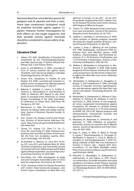demonstrated that some Mentha species (M. pulegium and M. piperita) and their p-menthane type components (pulegone) could be potential larvicidal agents against Cx. pipiens. However, further investigations for their effects on non-target organisms, and their possible toxicity against mammals should be considered to ensure safety of application.

# **Literature Cited**

- 1. Adams, R.P. 2007. Identification of Essential Oils components by Gas Chromatography/Quadrupole Mass Spectroscopy, 4<sup>th</sup> Edition; Allured Publishing Corp.: Carol Stream, Illinois.
- 2. Amer, A. and Mehlhorn, H. 2006. Larvicidal effects of various essential oils against Aedes, Anopheles, and Culex larvae (Diptera, Culicidae). Parasitology Research, 99: 466-472.
- 3. Ansari, M.A., Vasudevan, P., Tandon, M. and Razdan, R.K. 2000. Larvicidal and mosquito repellent action of peppermint (Mentha piperita) oil. Bioresource Technology, 71: 267-271.
- 4. Bakonyi, T., Hubálek, Z., Ivanics, E., Erdélyi, K., Ferenczi, E., Weissenböck, H. and Nowotny, N. 2008. In: Robinson WH, Bajomi D, eds. Emergence of mosquito-borne flaviviruses in Central Europe. Proceedings of the Sixth International Conference on Urban Pests. OOK-Press Kft. Hungary, p. 437-442.
- 5. Beereboom, J.J. 1966. The synthesis of piperitenone via mesityl oxide and methyl vinyl ketone. Journal of American Chemical Society, 31: 2026-2027.
- 6. CDC. Centers for Disease Control and Prevention, Division of Vector-Borne Infectious Diseases. http://www.cdc.gov/ncidod/dvbid/westnile/index.htm
- 7. Cheng, S.S., Huang, C.G., Chen, Y.J., Yu, J.J., Chen, W.J. and Chang, S.T. 2009. Chemical compositions and larvicidal activities of leaf essential oils from two eucalyptus species. Bioresource Technology, 100: 452-456.
- 8. De Andrade, I.L., Bezerra, J.S., Lima, M.A., De Faria, R.P., Lima, M.S. and Andrade-Neto, M. 2004. Chemical composition and insecticidal activity of essential oils from Vallinosmopsis pohlii baker against Bemisia argentifolii. Journal of Agricultural and Food Chemistry, 52: 5879-5881.
- 9. Don-Pedro, K.N. 1999. Investigation of single and joint fumigant insecticidal action of citrus peel oil components. Pest Science, 46: 79-84.
- 10. ECDC. European Centre for Disease Prevention and Control. http://www.ecdc.europa.eu. (see Events: Expert consultation on West Nile Virus

infection in Europe. 25 Jan 2011 - 26 Jan 2011, Thessaloniki. Organized by: ECDC, Hellenic Center for Disease Prevention and Control (Greece), WHO Regional Office for Europe).

- 11. Floore, T.G. 2006. Mosquito larval control practices: past and present. Journal of the American Mosquito Control Association, 22: 527-533.
- 12. Kokkini, S., Hanlidou, E. and Karousou, R. 2004. Clinal variation of Mentha pulegium essential oils along the climatic gradient of Greece. Journal of Essential Oil Research, 16: 588-593.
- 13. Lupien, S., Karp, F., Wildung, M. and Croteua, R.B. 1999. Regiospesific cyrochrome P450 hydrolases from mint (Mentha) species: cDNA isolation, characterization, and functional expression of (-)-4S-limonene-3-hydroxylase and (-)-4S-limonene-6-hydroxylase. Archives of Biochemistry and Biophysics, 368: 181-192.
- 14. Melliou, E., Michaelakis, A., Koliopoulos, G., Skaltsounis, A. and Magiatis, P. 2009. High quality bergamot oil from Greece: chemical am=nalysis using enantiomeric GC-MS and larvicidal activity against the West Nile virus vector. Molecules, 14: 839-849.
- 15. Michaelakis, A., Koliopoulos, G., Stroggilos, A., Bouzas, E. and Couladouros E. 2009. Larvicidal activity of naturally occurring naphthoquinones and derivatives against the West Nile virus vector Culex pipiens. Parasitology Research, 104: 657-662.
- 16. Michaelakis, A., Koliopoulos, G., Milonas, P., Kontodimas, D., Polissiou, M., Kimbaris, A. and Papachristos, D. 2008. Activity of non-oxygenated versus oxygenated monoterpenes against mosquitoes. An attempt to correlate toxicity with chemical structure. In: A 7th Joint meeting of AFERP, GA, PSE & SIF. Natural products with pharmaceutical, nutraceutical, cosmetic and agochemical interest, Athens.
- 17. Miyazawa, M., Watanabe, H., Umemoto, K. and Kameoka, H. 1998. Inhibition of acetylcholinesterase activity by essential oils of Mentha species. Journal of Agricultural and Food Chemistry, 46: 3431-3434.
- 18. Papa, A., Danis, K., Baka, A., Bakas A, Dougas G, Lytras T, Theocharopoulos, G., Chrysagis, D., Vassiliadou, E, Kamaria, F., Liona A., Mellou, K., Saroglou, G. and Panagiotopoulos, T. 2010. Ongoing outbreak of West Nile virus infections in humans in Greece, July – August 2010. Eurosurveillance, 15: pii=19644 (Available online: http://www.eurosurveillance.org/ViewArticle. aspx?ArticleId=19644)
- 19. Pitarokili, D., Michaelakis, A., Koliopoulos, G., Giatropoulos, A. and Tzakou, O. 2010. Chemical composition, larvicidal evaluation and adult repellency of endemic Greek Thymus essential oils against the mosquito vector of West Nile Virus.Parasitology Research, (DOI: 10.1007/s00436- 011-2271-1).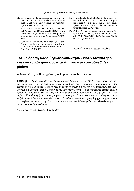- 
- 20. Samarasekera, R., Weerasinghe, I.S. and Hemalal, K.D.P. 2008. Insecticidal activity of menthol derivatives against mosquitoes. Pest Managment Science, 64: 290-295.
- 21. Shaalan, E.A., Canyon, D.V., Younes, M.W.F., Abdel-Wahad, H. and Mansour, A.H. 2006. A review of botanical phytochemicals with mosquitocidal potential. Environment International, 31: 1149- 1166.
- 22. Sukumar, K., Perich, M.J. and Boobar, L.R. 1991. Botanical derivatives in mosquito control: a review. Journal of the American Mosquito Control Association, 7: 210-237.
- 23. Trabousli, A.F., Taoubi, K., Samih, E.H., Bessiere, J.M. and Rammal, S. 2002. Incecticidal properties of essential oils against the mosquito Culex pipiens molestus (Diptera: Culicidae) Pest Managment Science, 58: 491-495.
- 24. WHO, Instructions for determining the susceptibility or resistance of mosquito larvae to insecticides. Vol. WHO/VBC/81.807. 1981, Geneva: World Health Organization. p. 6.

Received: 2 May 2011, Accepted: 21 July 2011

# **Τοξική δράση των αιθέριων ελαίων τριών ειδών** *Mentha* **spp. και των κυριότερων συστατικών τους στο κουνούπι** *Culex pipiens*

A. Μιχαηλάκης, Δ. Παπαχρήστος, Α. Κυμπάρης και Μ. Πολυσίου

**Περίληψη** Η δράση των αιθέριων ελαίων από τρία διαφορετικά είδη Mentha spp. (Lamiaceae), καθώς και τα σημαντικότερα συστατικά τους, αξιολογήθηκαν έναντι προνυμφών του κουνουπιού Culex pipiens (Diptera: Culicidae). Ως εκ τούτου οι ουσίες πουλεγόνη, πιπεριτενόνη, πιπεριτόνη, καρβόνη, μενθόνη και μενθόλη απομονώθηκαν με χρωματογραφία στήλης. Τα αποτελέσματα έδειξαν ισχυρή δράση των αιθέριων ελαίων *Μ. pulegium και Μ. piperita έ*ναντι των προνυμφών (τιμές LD<sub>50</sub> 46,97 και 40,28 mgl-1 αντίστοιχα) και η πουλεγόνη είχε την πιο ισχυρή δράση ανάμεσα στα κυριότερα συστατικά (27,23 mgl-1). Για τα απομονωμένα μόρια, η διερεύνηση για πιθανή σχέση δομής δράσης αποκάλυψε ότι η θέση του διπλού δεσμού και η παρουσία της ισοπροπυλιδένο ομάδας μπορεί να είναι σημαντικοί παράγοντες δραστικότητας.

Hellenic Plant Protection Journal **4:** 35-43, 2011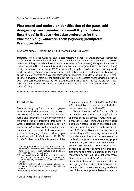# **First record and molecular identification of the parasitoid** *Anagyrus* **sp. near** *pseudococci* **Girault (Hymenoptera: Encyrtidae) in Greece - Host size preference for the vine mealybug** *Planococcus ficus* (Signoret) (Hemiptera: **Pseudococcidae)**

F. Karamaouna<sup>1</sup>, G. Menounou<sup>1,2</sup>, G.J. Stathas<sup>2</sup> and D.N. Avtzis<sup>3</sup>

**Summary** The parasitoid Anagyrus sp. near pseudococci (Hymenoptera: Encyrtidae) was recorded for the first time in Greece and was identified using a PCR-based technique. Once identified, the host size preference of the parasitoid for the vine mealybug Planococcus ficus (Signoret) (Hemiptera: Pseudococcidae) was examined in choice experiments with four host size classes (0.5-0.9, 1-1.5, 1.6-2.3 and >2.3 mm) mostly consisting of one host stage ( $2<sup>nd</sup>$ , 3<sup>rd</sup> instar nymph, young female adult and preovipositing female adult, respectively). Anagyrus sp. near pseudococci preferably parasitized adult female mealybugs larger than 1.6 mm, whereas no successful parasitism was observed in smaller mealybugs (0.5-1.5 mm). The mean development time of the parasitoid at the two host size classes where parasitism occurred was 15.99  $\pm$  0.43 days for females and 17.01  $\pm$  0.53 days for males (28  $\pm$  1°C, 16L:8D) and did not statistically differ between the sexes. Host size at parasitism did not affect the size of female and male parasitoid offspring.

Additional keywords: development, host selection, parasitism, vine mealybug

# **Introduction**

The vine mealybug P. ficus is a pest of grapevine in the Medditerranean region, North and South Africa, Middle East, Mexico, California and Argentina. It is the most common mealybug species infesting grapevine in Greece (Heraklio); it has been a key pest on grapevine in South Africa for more than seventy years and it is a pest of economic importance damaging table and wine grapes as well as raisins in California (6, 10, 28, 30, 31, 33). Furthermore, P. ficus is a vector of the Grapevine Leafroll Associated Virus 3 (GLRa V-3) (13) so it is considered economically important even at low densities (15).

Chemical control of P. ficus is difficult and ineffective as the mealybug feeds on all parts of the grapevine (roots, trunk, cordons, canes, leaves, fruit) and a portion of its population often resides in protected locations i.e. under the bark of the trunk or cordon (8, 11, 15, 34). Biological control through introducing and/or fostering populations of natural enemies has provided an alternative method to suppress vine mealybug populations (7, 12, 34). The parasitoid Αnagyrus pseudococci (Girault) (Hymentopeta: Encyrtidae) is the most commonly reared species among the natural enemies of the vine mealybug  $P$ . ficus (23) as usual with many Planococcus spp. and Pseudococcus spp. (31). Similarity in favourable climatic conditions and geographic distribution between A. pseudococci and the vine melybug renders it one of the most important biological agents

<sup>1</sup> Laboratory of Biological Control of Pesticides, Department of Pesticides Control and Phytopharmacy, Benaki Phytopathological Institute, 8 St. Delta Str., GR-145 61 Kifissia (Athens), Greece

<sup>2</sup> Technological Educational Institute of Kalamata, School of Agricultural Technology, Department of Crop Production, Antikalamos, GR-241 00 Kalamata, Greece

<sup>3</sup> NAGREF, Forest Research Institute, Laboratory of Forest Entomology, GR-570 06 Vasilika (Thessaloniki), Greece

Corresponding author: dimitrios.avtzis@fri.gr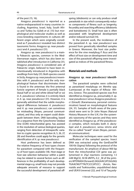### of the pest (15, 16).

Anagyrus pseudococci is reported as a native endoparasitoid in many countries including, Argentina, Israel, Italy, South Africa and Turkey bu Gülek et al. (15) but morphological and molecular studies as well as cross-breeding experiments in cultures different origin which were originally considered as P. pseudococci revealed two distinct taxonomic forms: Anagyrus sp. near pseudococci and A. pseudococci (31).

Anagyrus sp. near pseudococci is a mainly Palearctic species, common in the Meditterranean region, which has also been established after introduction in California (31). Anagyrus pseudococci is considered aslo of Palearctic origin, believed to have been inintentioanally introduced in Argentina with seedlings from Italy (31). Both species coexist in Sicily. Anagyrus sp. near pseudococci resembles with A. *pseudococci* and the only morphological feature that discriminates them is found in the antennae: the first antennal funicle segment of female is partially black (basal half or so) and white (distal half or so) in A. pseudococci whereas it is entirely black in A. sp. near pseudococci (31). However, it is generally admitted that the subtle morphological differences between A. pseudococci and A. sp. near pseudococci, can sometimes be misleading (Noyes, personal communication), and thus only an expert could distinguish between them. DNA barcoding, based on a sequence from the Cytochrome Oxidase One (COXI) mitochondrial gene, has assisted in the resolution of various biological queries, ranging from detection of intraspecific variation to cryptic species recognition (4, 5, 26, 27, 28) and therefore could apply for the genetic identification of A. sp. near pseudococci.

Host preference has been defined as the relative frequency of host types chosen for parasitism compared with the frequency of host types available (18). Host stage or host size selection behaviour within a patch may be related to several factors such as differences in the profitability of each developmental stage e.g. small hosts may not provide adequate amounts of resource to support the successful development of parasitoid offspring (idiobionts) or can only produce small parasitoids in size which consequently reduces components of fitness such as longevity, fecundity and searching efficiency (idiobionts and koinobionts) (1). Small host size is often associated with lengthened development and/or reduced survival (14).

In the present work, the incidenece of the parasitoid A. sp. near pseudococci was proved from genetically identified samples in Greece. Moreover, the host size preference for the vine mealybug P. ficus and the effect of host size on development time and size of the parasitoid offspring were investigated as indices of the parasitoid fitness.

# **Materials and methods**

# *Anagyrus* **sp. near** *pseudococci* **identifi cation**

The parasitoid samples were collected as parasitized mealybugs on Mentha spp. (Lamiaceae) at the region of Kifissia- Athens, Greece. The parasitoid species was first identified as Anagyrus sp., presumably A. sp. near pseudococci versus Anagyrus pseudococci (Girault) (Karamaouna, personal communication) based on morphological features (24, 31). Samples of both sexes of the parasitoid were sent to Dr John Noyes (Natural History Museum in the U.K.) for the systematic taxonomy of the species and they were identified as Anagyrus sp. of the pseudococci complex, which includes both A. dactylopii and A. pseudococci, sensu stricto and the so-called "Israeli" strain (Noyes, personal communication).

Molecular techniques were used for the verification of the sampled species. Insect DNA was extracted using the GenEluteTM 100 Kit (Sigma) following the protocol of the manufacturer. An amplicon of about 900 bp from the mitochondrial COI gene was polymerised in 25μl reactions containing 1.5 mM MgCl2, 50 M dNTPs, 0.2 \_M of the primers MTDNA04 (forward) (AGGAAC(AT)GG(AG) TGAACNGTTTA(TC)CC(AT)CC) (Avtzis, Navrozidis and Tsoktourides, unpublished data) and UEA10 (reverse) (22), and 1U of Taq poly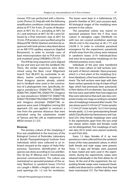merase. PCR was performed with a thermocycler (Primus 25, PeqLab) with the following amplification conditions: initial denaturation phase at 97°C for 4 min, 35 cycles of denaturation at 96°C for 25 s, annealing at 48°C for 25 s and extension at 68°C for 90 s were followed by a final extension step at  $68^{\circ}$ C for 10 min. PCR products were purified using the QIAquickTM 108 Kit (QiaGen) and directly sequenced with both primers described above on an ABI 3770 capillary sequencer (Applied Biosystems), in order to exclude cases of base misincorporation due to PCR error (20) and visualised using CHROMAS LITE (37).

The 818 bp long sequences were aligned by eye and were put into the GenBank (36). There, the similar sequences were determined using the Basic Local Allignment Search Tool (BLAST) by nucleotide. In addition, twelve nucleotide sequences of three Anagyrus species already submitted to GenBank were used in the construction of a phylogenetic tree. Specifically, Anagyrus pseudococci (DQ667743, DQ667745, DQ667744, DQ667746, DQ667747) Anagyrus sp. near pseudococci (DQ667737, DQ667738, DQ667739, DQ667740, DQ667741, DQ667742) and Anagyrus dactylopii (DQ667736) sequences were used. A Neighbor-Joining (NJ) approach (25) was applied to construct a tree from the pairwise distances that were estimated using the substitution model of Tamura and Nei (29) as implemented in MEGA version 3.1 (21).

### **Bioassay**

The primary culture of the mealybug P. ficus was established in the insectary of the Biological Control of Pesticides Laboratory at Benaki Phytopathological Institute from individuals which were collected in an infested vineyard at the region of Helia-Peloponnese. Taxonomic identification of the species was done according to Cox and Ben-Dov (6) key (P. Milonas and F. Karamaouna, personal communication). The culture was maintained on sprouted potatoes of the variety 'Marfona' in sandwich boxes (17x11x5 cm: Length x Width x Height) with net covered openings ( $d= 1.5$  cm) for ventilation.

The boxes were kept in a Gallenkamp CO<sub>2</sub> growth chamber at 26°C and constant dark. All biological stages of the mealybug were present in the culture.

The parasitoid colony was reared on sprouted potatoes from the  $P$ . ficus mass culture in plexiglass cages [50x40x40 cm with two net covered ventilation openings (30x20 cm)] in the insectary at 28  $\pm$  1°C and L16:D8 h. In order to schedule parasitoid emergence for the experiment, parasitoids of both sexes from the colony were released in sandwich boxes (5-10 individuals/box) and were let to parasitise mealybugs on the infested potatoes every week.

Individuals of the pest were transferred from the mass culture on leaf sections (central part) of Nerium oleander (Apocynaceae), which is a host plant of the mealybug (Scalenet database), a few hours before the experiment. The leaf sections were kept with their lower surface upwards on top of a layer of 8 g/l Agar, which had previously been autoclaved, in Petri-dishes of 9 cm diameter. Size classes of the host were used rather than host stages but they were selected so that each size class comprised mostly one stage according to sampled sizes of mealybugs measured after moults. The size classes were  $0.5$ -0.9 mm ( $2<sup>nd</sup>$  instar nymph), 1-1.5 mm  $(3<sup>rd</sup> instar nymb)$ , 1.6-2.3 mm (young female adult), >2.3 mm (preovipositing female adult) [Classification by Karamaouna and Copland (21)]. Only female mealybugs were used in the experiments apart from the two small size classes where males and females could not be distinguished. Five mealybugs of each size class (20 in total) were placed randomly in each Petri dish.

Every 1-3 days, females of A. sp. near pseudococci were collected from the sandwich boxes of the mass parasitoid culture, in which both female and male wasps were present. These 1-3 days old females were assumed to have mated and were used in the experiments. During the experiments, wasps were released individually in the Petri-dishes for 24 hours. At the end of the experiment, the ovipositing female wasps were measured (headwidth) and dissected to confirm that they had been inseminated (17). The Petri-dishes were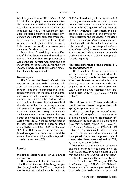kept in a growth room at 28  $\pm$  1°C and L16:D8 h until the mealybugs became mummified. The mummies were collected, measured (tip of the head to the end of the abdomen) and kept individually in 0.5 ml Eppendorf tubes, under the aforementioned conditions of temperature and light until parasitoid emergence. A binocular stereo-microscope (Χ 5 – Χ 50) with a linear scale graticule fitted in one of its lenses was used for all the necessary measurements of the host and the parasitoid.

Proportion of mealybugs mummified out of the total number in each size class of the host (index of host size preference) as well as the sex, development time and size (headwidth) of the parasitoid offspring were recorded (body size is usually a good predictor of fecundity in parasitoids).

### **Data analysis**

The four host size classes, offered simultaneously to the parasitoid in each Petri dish, were the treatments. Each Petri-dish was considered as one experimental unit – replication of the experiment. Fifty experimental units were set but parasitism was observed only in 34 Petri dishes in the two larger classes of the host. Because observations of host size classes within the same experimental unit were not independent, the 34 observations were divided into two groups and data on development time and headwidth of one parasitized host size class from one group were compared with the respective data of the other size class from the second group using ANOVA ( $\alpha$  = 0.05) in MINITAB (Release 10.51 Xtra). Data on parasitism rate were subjected to angular transformation to fulfill the assumptions of normality and homogeneity of variance before ANOVA.

# **Results**

# **Molecular identifi cation of** *A.* **sp.near**  *pseudococci*

The employment of a PCR-based method in the identification of the Anagyrus species, through either BLAST or phylogenetic tree contruction yielded a similar outcome.

BLAST indicated a high similarity of the 818 bp long sequence with Anagyrus sp. near pseudococci sequences, whereas it was less similar with the sequences of A. pseudococci and A. dactylopii. Furthermore, the distance-based calculation of the phylogenetic tree clustered the sequences in the clade of the A. sp.near pseudococci sequences obtained from the NCBI GeneBank, supporting this clade with high bootstrap value (Bootstrap Value: 100%) whereas sequences from A. pseudococci individuals were separately clustered into another distinct monophyletic clade (Figure 1).

# **Host size preference of the parasitoid** *A***. sp.near** *pseudococci*

The evaluation of host size preference was based on the rate of parasitized mealybugs (mummies) in each size class. No parasitism was observed in the smaller host size classes (0.5-0.9 mm and 1-1.5 mm). The rate of parasitism in the larger size classes was 0.18-0.22 and did not statistically differ between them. (ANOVA,  $F_{1,48} = 0.37$ ,  $P = 0.544$ ) (Table 1).

# Effect of host size of *P. ficus* on develop**ment time and size of the parasitoid off spring** *A.* **sp. near** *pseudococci*

The mean development time of female and male offspring of A. sp. near *pseudococ* $ci$  in female adults did not significantly differ between the size classes '1.6-2.3 mm' and '>2.3 mm' (females: ANOVA,  $F_{1,15} = 0.02$ , P= 0.877; males: ANOVA,  $F_{1,20} = 0.94$ ,  $P = 0.344$ ) (Table 2). No significant difference was found in development time of female and male parasitoids, when the pooled data of the two size classes were analysed (ANOVA,  $F_{1.37}$  = 2.06, P = 0.160) (Table 2).

The mean size (headwidth) of female and male offspring of the parasitoid A. sp. near pseudococci in female adults (1.6-2.3 mm and  $>2.3$  mm) of P. ficus did not significantly differ significantly between the size classes (females: ANOVA,  $F_{1,10} = 0.92$ ,  $P=$ 0.360; males:  $F_{1,30} = 0.01$ ,  $P = 0.932$ ) (Table 2). Female parasitoids were larger (headwidth) than male parasitoids based on the pooled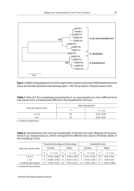

**Figure 1.** Neighbor-Joining phylogenetic tree of the samples and the sequences retrieved from NCBI databank based on the Tamura-Nei nucleotide substitution model (bootstrap repeats  $=$  500). The bar indicates a TN genetic distance of 0.01.

**Table 1.** Rate of P. ficus mealybugs parasitized by A. sp. near pseudococci when different host size classes were simultaleously offered to the parasitoid for 24 hours.

|                        | Rate of parasitism |                         |  |
|------------------------|--------------------|-------------------------|--|
| Host size classes (mm) | n                  | $\overline{x} \pm$ s.e. |  |
| $1.6 - 2.3$            | 25                 | $0.22 \pm 0.05$         |  |
| >2.3                   | 25                 | $0.18 \pm 0.05$         |  |

n: number of replications

**Table 2.** Development time and size (headwidth) of female and male offspring of the parasitoid A. sp. near pseudococci, which emerged from different size classes of female adults of the mealybug P. ficus.

|                          | Parasitoid development time (days) |                         |    |                         | Headwidth (mm) |                         |    |                         |
|--------------------------|------------------------------------|-------------------------|----|-------------------------|----------------|-------------------------|----|-------------------------|
| Host size classes (mm)   |                                    | Females<br>Males        |    | Females                 |                | Males                   |    |                         |
|                          | n                                  | $\overline{x} \pm$ s.e. | n  | $\overline{x} \pm$ s.e. | n              | $\overline{x} \pm$ s.e. | n  | $\overline{x} \pm$ s.e. |
| $1.6 - 2.3$              | 8                                  | $15.92 \pm 0.66$        | 10 | $17.58 \pm 0.99$        | 5              | $0.51 \pm 0.03$         | 19 | $0.45 \pm 0.01$         |
| > 2.3                    | 9                                  | $16.06 \pm 0.59$        | 12 | $16.54 \pm 0.52$        |                | $0.54 \pm 0.02$         | 13 | $0.46 \pm 0.01$         |
| >1.6 (both size classes) | 17                                 | $15.99 \pm 0.43$        | 22 | $17.01 \pm 0.53$        | 12             | $0.53 \pm 0.02$         | 21 | $0.46 \pm 0.009$        |

n: number of observations

© Benaki Phytopathological Institute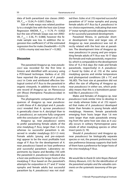data of both parasitized size classes (ANO-VA,  $F_{1,31} = 15.04$ ,  $P = 0.001$ ) (Table 2).

Size of male wasps was related positively to a straight line with the host size (Linear Regression ANOVA,  $F_{1,30} = 11.79$ ,  $P = 0.002$ ) but the size of female wasps was not (ANO-VA,  $F_{110} = 3.56$ , P= 0.088); however the female sample was low. In addition the regression line coefficient ( $r^2$ ) of the estimated regression line for males (headwidth  $= 0.276$  $+$  0.016 x mumy size) was low (r<sup>2</sup> = 0.282).

# **Discussion**

The parasitoid Anagyrus sp. near pseudococci was recorded for the first time in Greece and identified with accuracy using a PCR-based technique. Varikou et al. (33) have reported the presence of A. *pseudo*cocci in Crete and attributed effective biological control of P. ficus to the parasitoid in organic vineyards. In addition there is only one record of Anagyrus sp. on Planococcus citri (Risso) (Hemiptera: Pseudococcidae) in Greece (2).

The phylogenetic comparison of the sequences of Anagyrus sp. near pseudococci with those of A. dactylopii and A. pseudococci revealed that A. sp.near pseudococci is genetically closer to A. dactylopii than to A. pseudococci, an outcome fully congruent with the conclusion of Triapitsyn et al. (31).

Anagyrus sp. near pseudococci seems to prefer parasitizing female adults of the vine mealybug P. ficus, larger than 1.6 mm, whereas no successful parasitism is observed in smaller mealybugs (0.5-1.5 mm). Female adults (young and pre-ovipositing) appear to be the most profitable host stage of P. ficus for the development of A. near pseudococci based on host preference and successful parasitism. Laboratory experiments by Daane and Bendley (10) with the parasitoid A. pseudococci indicated also a host size preference for larger hosts of the mealybug P. ficus based on the parasitoid's attempts for oviposition in 2<sup>nd</sup> and 3<sup>rd</sup> instar nymphs and female adults but successful parasitism by A. pseudococci was not studied then. Gülec et al. (15) reported successful parasitism of 3rd instar nymphs and young female adults of P. ficus by A. pseudococci in no-choice experiments, indicating that even 3<sup>rd</sup> instar nymphs provide adequate resources for successful parasitoid development.

Parasitoid fitness, in particular shorter development time and larger size, of Anagyrus sp. near pseudococci was not directly related with the host size at parasitism. The development time of Anagyrus sp. near pseudococci in young and pre-ovipositing female adults of P. ficus was 16-17 days (for female and male parasitoids, respectively), which is comparable to the development time of 15.2-16.6 days (for male and female parasitoids, respectively) in A. pseudococ $ci$  found by Gülec et al.  $(15)$  at the same mealybug species and similar temperature and photoperiod conditions (28  $\pm$  1°C and 16L:8D). The host size at parasitism did not affect the size of offspring of Anagyrus sp. near pseudococci in either sex, which probably means that this is a koinobiont parasitoid like A. pseudococci (15).

Males and females of Anagyrus sp. near pseudococci took similar time to develop in our study whereas Gülec et al. (15) reported that males of A. pseudococci developed faster than females in young female adult mealybugs. However, female parasitoids emerging from hosts larger than 1.6 mm were larger than male parasitoids emerging from the same host size class as it usually occurs in solitary Hymenoperan parasitoids of other mealybug species or other insect pests (3, 19).

Should A. pseudococci and Anagyrus sp. near pseudococci be biologically separate species or not, the present preliminary host size preference bioassay supports that both of them have a preference for larger hosts of the vine mealybug P. ficus.

We would like to thank Dr John Noyes (Natural History Museum, U.K.) for the identification of the parasitoid samples and the valuable comments on the systematic taxonomy of the species.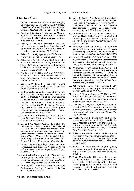# **Literature Cited**

- 1. Alphen, J.J.M. van and Jervis, M.A. 1996. Foraging Behaviour. pp. 1-62. In: M. Jervis and N. Kidd (eds.) Insect Natural Enemies: Practical Approaches to their Studies and Evolution, Chapman and Hall, London.
- 2. Argyriou, L.C., Stavraki, H.G. and P.A. Mourikis 1976. A list of recorded entomophagous insects of Greece. Benaki Phytopahtological Institute, Kifissia-Athens, Greece.
- 3. Asante, S.K. and Danthanarayana, W. 1993. Sex ratios in natural populations of Aphelinus mali (Hym: Aphelinidae) in relation to host size and host density. Entomophaga, 38: 391-403.
- 4. Avise J.C. 2000. Phylogeography The history and formation of species. Harvard University Press.
- 5. Avtzis, D.N., Arthofer, W. and Stauffer, C. 2008. Sympatric occurrence of diverged mtDNA lineages of Pityogenes chalcographus (Coleoptera, Scolytinae) in Europe. Biological Journal of the Linnean Society, 94: 331–340.
- 6. Ben-Dov, Y., Miller, D.R. and Gibson, G.A.P. (2011) Scalenet: Α datadase of the scale insects of the world <htpp:www.sel.barc.usda.gov/scalenet/ scalenet> (4-7-2011).
- 7. Berlinger, M. 1977. The Mediterranean vine mealybug and its natural enemies in southern Israel. Phytoparasitica, 5: 3–14.
- 8. Castillo A.A.F., Hernández, H.G. and Daane K.M. 2005. Los Pijo Harinosos de la Vid. Libro Técnico No. 9. Instituto Nacional de Investigaciones Forestales, Agrícolas y Pecuarias, Sonara, Mexico.
- 9. Cox, J.M. and Ben-Dov, Y. 1986. Planococcine mealybugs from the Mediterranean Basin and their distinction from a new African genus (Hemiptera: Pseudococcidae) Bulletin of Entomological Research, 76: 481-489.
- 10. Daane, K.M. and Bentley, W.J. 2000. University of California Cooperative Extension <http:// vinemealybug.uckac.edu>
- 11. Daane K.M., Malakar-Kuenen, R., Guillén, M., Bentlyey, W.J., Bianchi, M. and D. Gonzalez, D. 2003. Abiotic and biotic refuges hamper biological control of mealybug pests in California vineyards. Proceedings of the 1st International Symposium on Biological Control of Arthropods (ed. R. van Driesch), pp. 389–398. FHTET-03055. USDA Forest Service Publishers, Morgantown, West Virginia.
- 12. Duso, C. 1990 (1989). Indagini bioecologiche su Planococcus ficus (Sign.) nel Veneto. Bollettino del Laboratorio di Entomologia Agraria "Filippo Silvestri", 46: 3–20.
- 13. Engelbrecht, D. and Kasdorf, G. 1990. Transmission of grapevine leafroll disease and assocaited closteroviruses by the vine mealybug, Planococcus ficus. Phytophylactica, 22: 341-346.
- 14. Godfray, H.C.J. 1994. Parasitoids: Behavior and Evolutionary Ecology. Princeton University Press, Princeton, NJ, USA.
- 15. Gülec, G., Kilincer, A.N., Kaydan, M.B. and Ulgenturk, S. 2007. Some biological interactions between the parasitoid Anagyrus pseudococci (Girault) (Hymenoptera: Encyrtidae) and its host Planococcus ficus (Signoret) (Hemiptera: Coccoidea: Pseudococcidae). Journal of Pest Science, 80: 43-49.
- 16. Gutierez, A.P., Daane, K.M., Ponti, L., Walton V.M. and Ken Ellis C. 2008. Prospective evaluaton of the biological control of the vine mealybug: refure effects and climate. Journal of Applied Ecology, 45: 524-536.
- 17. Jong de, P.W., and van Alphen, J.J.M. 1989. Host size selection and sex allocation in Leptomastix dactylopii, a parasitoid of Planococcus citri. Entomologia Experimentalis et Applicata, 50: 161-169.
- 18. Hopper, K.R. and King, E.G. 1984. Preference of Microplitis croceipes (Hymenoptera: Braconidae) for instars and species of Heliothis (Lepidoptera: Noctuidae). Environmental Entomology, 31: 1145-1150.
- 19. Karamaouna, F. and Copland, M.J.W. 2000 Host suitability, quality and host size preference of Leptomastix epona and Pseudaphycus flavidulus, two endoparasitoids of the mealybug Pseudococcus viburni, and host size effect on parasitoid sex ratio and clutch size. Entomologia Experimentalis et Applicata 96: 149-158.
- 20. Kobayashi, N., Tamura, K. and Aotsuka, T. 1999. PCR error and molecular population genetics. Biochemical Genetics: 37, 317-321.
- 21. Kumar, S., Tamura, K. and Nei, M. 2004. MEGA3: Integrated software for molecular evolutionary genetics analysis and sequence alignment. Briefings in Bioinformatics, 5: 150-163.
- 22. Lunt, D.H., Zhang, D.-X., Szymura, J.M. and Hewitt, G.M. 1996. The cytochrome oxidase I gene: evolutionary patterns and conserved primers for phylogenetic studies. Insect Molecular Biology, 5: 153-165.
- 23. Malakar-Kuenen, R., Daane, K.M., Bentley, W.J., Yokota, G.Y., Martin, L.A., Godfrey, K. and Ball, J. 2001. Population dynamics of the vine mealybug and its natural enemies in the Coachella and San Joaquin Valleys. University of California Plant Protection Quarterly,11: 1–3.
- 24. Rosen, D. and Rössler. Y. 1966. Studies on an Israel strain of Anagyrus pseudococci (Girault) (Hymenoptera: Encyrtidae). I. Morphology of the adults and developmental stages. Entomophaga, 11: 269-277.
- 25. Saitu, N. and Nei, M. 1987. The neighbor-joining method: A new method for reconstructing phylogenetic trees. Molecular Biology and Evolution, 4: 406-425.
- 26. Smith, M.A., Woodley, N.E., Janzen, D.H., Hallwachs, W. and Hebert, P.D. 2006. DNA barcodes reveal cryptic host-specificity within the presumed polyphagous members of a genus of parasitoid flies (Diptera: Tachinidae). Proc. Natl. Acad. Sci. U.S.A, 103: 3657–62.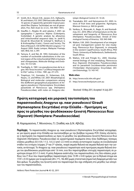- 27. Smith, M.A., Wood, D.M., Janzen, D.H., Hallwachs, W. and Hebert, P.D. 2007. DNA barcodes affirm that 16 species of apparently generalist tropical parasitoid flies (Diptera: Tachinidae) are not all generalists. Proc. Natl. Acad. Sci. U.S.A., 104: 4967–4972.
- 28. Stauffer, C., Riegler, M. and Lakatos, F. 2001. Ips typographus f. japonicus Niijima (Coleotpera, Scolytidae): A genetic analysis by allozymes and mitochondrial sequence data. In: Jandl R, Devall M, Khorchidi M, Schimpf E, Wolfrum G & Krishnapillay B (eds.). Forests and Society: The Role of Research. XXI IUFRO World Congress 7-12 August 2000. Kuala Lumpur, Malaysia: Pramaju Sdn. Bhd, Vol. 3, 397.
- 29. Tamura, K. and Nei, M. 1993. Estimation of the number of nucleotide substitutions in the control region of the mitochondrial DNA in humans and chimpanzees. Molecular Biology and Evolution, 10: 512-526.
- 30. Tranfaglia, A. 1981. Les pseudococcines de la vigne. Atti Terzo Incontro "La Difesa Integrata della Vite" Latina, 3-4 Dec. 1981, pp. 211-215.
- 31. Triapitsyn, S.V., Gonzalez, D., Vickerman, D.B., Noyes, J.S. and White, E.B. 2007. Morphological, Biological and molecular comparisons among the doifferent geographical populations of  $An$ agyrus pseudococci (Hymenoptera: Encytridae), parasitoids of Planococcus spp. (Hemiptera: Pseudococcidae), with notes on Anagyrus dac-

tylopii. Biological Control, 41: 14-24.

- 32. Τzanakakis, Μ.Ε. and Katsoyannos B.I. 2003. Insects of fruit trees and grapevine. Agrotypos, Marousi-Greece, p. 360 (in greek).
- 33. Varikou, K., Birouraki, A., Bagis, N. and Kontodimas, D.C. 2010. Effect of temperature on the development and longevity of Planococcus ficus (Hemiptera: Pseudococcidae). Annals of Entomological Society of America, 103: 943-948.
- 34. Walton, V.M. 2003. Development of an integrated pest management system for vine mealybug, Planococcus ficus (Signoret), in vineyards in the western CapeProvince, South Africa. PhD Thesis. University of Stellenbosch, Stellenbosch, South Africa.
- 35. Walton, V.M and Pringle K.L. 2005. Developmental biology of vine mealybug, Planococcus ficus (Signoret) (Homoptera: Pseudococcidae), and its parasitoid Coccidoxenoides perminutus (Timberlake) (Hymenoptera: Encyrtidae). African Entomology, 13: 143-147.

### **Web sites**

- 36. http://www.ncbi.nlm.nih.gov/
- 37. http://www.technelysium.com.au

Received: 10 May 2011, Accepted: 14 July 2011

# **Πρώτη καταγραφή και μοριακή ταυτοποίηση του παρασιτοειδούς** *Anagyrus* **sp. near** *pseudococci* **Girault (Hymenoptera: Encyrtidae) στην Ελλάδα – Προτίμηση ως προς το μέγεθος του ψευδόκοκκου-ξενιστή** *Planococcus fi cus* **(Signoret) (Hemiptera: Pseudococcidae)**

Φ. Καραμαούνα, Γ. Μενούνου, Γ.Ι. Σταθάς και Δ.Ν. Αβτζής

**Περίληψη** Το παρασιτοειδές Anagyrus sp. near pseudococci (Hymenoptera: Encyrtidae) καταγράφηκε για πρώτη φορά στην Ελλάδα και ταυτοποιήθηκε με την βοήθεια τεχνικών PCR. Επίσης εξετάστηκε η προτίμηση του παρασιτοειδούς ως προς το μέγεθος του ψευδόκοκκου-ξενιστή Planococcus ficus (Signoret) (Hemiptera: Pseudococcidae) σε εργαστηριακά πειράματα όπου ήταν διαθέσιμες τέσσερις κλάσεις μεγέθους (0.5-0.9, 1-1.5, 1.6-2.3 and >2.3 mm) οι οποίες αντιστοιχούν κυρίως σε ένα βιολογικό στάδιο του εντόμου (νύμφες 2ης και 3ης ηλικίας, νεαρά ακμαία θηλυκά και ακμαία θηλυκά πριν την ωοτοκία, αντίστοιχα). Το Anagyrus sp. near pseudococci παρασίτησε κατά προτίμηση ακμαία θηλυκά άτομα του ψευδόκοκκου μεγαλύτερα από 1.6 mm, ενώ δεν παρατηρήθηκε επιτυχής παρασιτισμός σε μικρότερα άτομα (0.5-1.5 mm). Η μέση διάρκεια ανάπτυξης του παρασιτοειδούς στις δύο κλάσεις μεγέθους του *P. ficus π*ου παρατηρήθηκε παρασιτισμός ήταν 15.99 ± 0.43 ημέρες για τα θηλυκά άτομα και 17.01  $\pm$  0.53 ημέρες για τα αρσενικά (28  $\pm$  1°C, 16L:8D) χωρίς στατιστικά σημαντική διαφορά μεταξύ των δύο φύλων. Το μέγεθος του ξενιστή κατά τον παρασιτισμό δεν είχε επίδραση στο μέγεθος των απογόνων του παρασιτοειδούς.

Hellenic Plant Protection Journal **4:** 45-52, 2011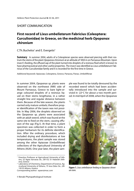# SHORT COMMUNICATION

# **First record of** *Lixus umbellatarum* **Fabricius (Coleoptera: Curculionidae) in Greece, on the medicinal herb** *Opopanax chironium*

# C.Th. Buchelos $^{\rm 1}$  and E. Evergetis $^{\rm 2}$

**Summary** In summer 2004, adults of a Coleopteran species were observed piercing with their rostrum the stems of the plant Opopanax chironium at an altitude of 1850 m on Parnassus Mountain. Upon insect's feeding, the effused sap of the plant turned into droplets of a resinous fluid which is known to have pharmaceutical and other useful properties. The insect was identified as Lixus umbellatarum Fabricius of the Curculionidae family and it is recorded for the first time in Greece.

Additional keywords: Apiaceae, Coleoptera, Greece, Panacea, Panax, Umbelliferae

In summer 2004, Opopanax sp. plants were observed on the northwest (NW) side of Mount Parnassus, Greece to bare light-orange coloured droplets of a resinous liquid on their stems lengthwise, in a rather straight line and regular distance between them. Because of the late season, the plants carried only mature umbels; therefore proper identification of the taxon was not possible. In May 2006, the droplets observed on the Opopanax sp. plants were associated with an adult weevil, which was found at the same site to feed on the stem, causing effusion of the sap (Fig.1). At that time, a plant specimen was collected in order to form a proper herbarium for its definite identification. After the ordinary procedure, which included drying and disinfestations at low temperatures, the plant sample was stored among the other Apiaceae (Umbelliferae) collections of the Agricultural University of Athens (AUA). One year later, the plant sam-

Corresponding author: epaev@mac.com

ple was found to be totally devoured by the recorded weevil which had been accidentally introduced into the sample and survived in -22 $\degree$ C for about a two month period. In mid April of 2008, when the Opopanax



**Figure 1.** Lixus umbellatarum feeding on Opopanax chironium stem.

Emeritus Professor at Agricultural University of Athens, 52 Agias Varvaras Str., GR-152 31 Halandri (Athens), Greece

Laboratory of Chemistry, Department of Science, Agricultural University of Athens, 75 Iera Odos Str., GR-118 55 Athens, Greece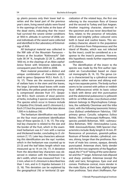sp. plants possess only their lower leaf rosettes and the basal part of the previous year's stem, living weevil adults were found in the openings of exit holes at the base of the dead stems, indicating that the insect had survived the severe winter conditions at 1850 m. altitude. In summer of 2008, several individuals of the weevil were collected and identified in the Laboratory of Entomology of AUA.

All biological material was collected in the NW side of the Mountain Parnassos – Greece at the location "Kokinorachi" (latitude 38 34´ N., longitude 22 28´ E., altitude 1850 m), in the clearings of an Abies cephallonica forest with limestone substrate, in consequent years from 2004 to 2008.

Plant material presented a distinct and unique combination of characters attributed to genus Opopanax W.D.J. Koch. (3, 7, 16, 17). These are the excessive presence of stellate hairs in the stem and the leaves, the large 2-pinnate basal leaves with ovate leaf-lobes, the yellow petals and the strongly compressed obovate fruit (17). Opopanax W.D.J. Koch consists of stout perennial herbs, including 3 species worldwide (13). The species which occur in Greece include O. hispidus (Friv.) Griseb. and O. chironium (L.) Koch (17) but the presence of the later above 1.500 m is dubious (16).

The herbarium identification was based on the four most prominent identification keys of these species (3, 7, 16, 17). The original key character is related to the size and the border of the fruit, which in the examined herbarium was 6-7 mm with a narrow and thickened border, concluding to O. chironium (7, 17). Later key characters advocating this identification are the rays' number, which in the herbarium was counted up to 23 (3) and the leaf lobes length which was measured up to 14 cm (16, 17). A deviation from the described key characters was observed in relation with the thickened border's width, which was measured from 1 to 2 mm, when in O. chironium is described less than 1 mm, and in O. hispidus between 2-3 (3, 16). This deviation can be explained by the geographical (16) or territorial (3) specialization of the related keys, the first one referring to the mountain flora of Greece and the second to Turkey and East Aegean. Another inquiring character, observed in the specimen and was never described before, relates to the presence of reticulate, ribbed and brightly yellow coloured veins both in basal and cauline leaves. This secondary character, absent in the population of O. chironium from Peloponnesus and the island of Rhodes, which was not infected by the insect, could be considered as a response to the insect's presence. However, this hypothesis needs further experimental confirmation.

The identification of the insect to the species was made by the first author (specialist on Curculionidae) based on classical monographs (9, 14, 15). The genus Lixus is characterized by a cylindrical rostrum and elytra rather narrow and oblong ending in two separate points. The body surface seems to be covered with yellow or reddish 'dust' (efflorescence) while its basic colour is black with dense and thin punctuation and the abdominal pubescence is yellowish with bi- or trifide setae. Lixus (Eulixus) umbellatarum belongs to Rhynchophora Coleoptera, the subfamily Cleoninae and the tribe Lixini, with the following taxonomic history: Lixus (Eulixus) umbellatarum Fabricius, 1787 primary genus: Curculio, subgenus Eulixus Reitter, 1916 = Promecaspis Hoffmann, 1958. species: pardalis Boheman, 1835 -submaculatus Boheman, 1842 –brevicaudatus Lucas, 1848 –brevicaudis Küster, 1849. Species' characteristics include: Body length 8-14 mm. Efflorescence of pronotum, greenish-yellow. Rostrum of female slender, cylindrical, convex, shinny, longer than the prothorax. Rostrum of male less convex, opaque, densely punctuated. Antennae short, fairly slender with the first two segments of the flagellum equal, the 3<sup>rd</sup> to 6<sup>th</sup> being of the same diameter and the 7<sup>th</sup> larger. Antennal club ellipsoid and sharp- pointed. Antennae (except the club) and tarsi, ferruginous. Eyes oval and convex. Prothorax conical, more slender in the male. Elytra, at their base, slightly larger than prothorax. Tarsi short (Hoffmann, Por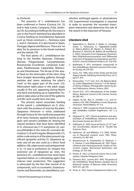ta, Portevin).

The presence of L. umbellatarum has been confirmed in France (Corsica) (14, 15) and in Italy (Latsio, Campania, Pulia, Sardinia) (14). According to Hoffman (9), the insect is rare in the French mainland but abundant in Corsica, feeding on miscellaneous Apiaceae such as Ferula communis L., Pastinaca lutea L. and O. chironium. It is also found in Spain, Portugal, Algeria and Morocco. There are 'no data' for its presence in the Greek mainland and the islands (19).

The host plants of L. umbellatarum belong to the families Apiaceae, Chenopodiaceae, Polygonaceae, Caryophylaceae, Brassicaceae (Cruciferae), Lamiaceae (Labiatae), Papilionaceae, Capparidae, Malvaceae and Geraniaceae. The larvae of the weevil feed on the internodes of the stem; they bore straight descending galleries through petioles and stems attaining the plant's 'neck' or the upper part of the roots. (12). Hibernation takes place in the adult stage, usually in the soil, appearing during March and April and feeding up to September. Pupation takes place at the end of the galleries and life cycle usually lasts one year.

The present report associates feeding of the weevil L. umbellatarum on O. chironium with the produce of resin by the plant. Opopanax chironium is richly celebrated through history for the medicinal properties of its resin, Panacea, applied mainly as analgesic and venom's antidote (4). Among the natural products that have been identified in O. chironium are C-17 acetylenes (2), various phthalides in the roots (6), coumarin derivatives (1, 8) and irregular diterpenoids (11), while crude extracts of the plant present significant apoptotic activity (1). Opopanax sp. resin and oil are also used as a direct food additive (18), expectorant and antispasmodic (5, 11) and in perfumery (5). Despite this extensive use of Opopanax sp. resin, the presence of L. umbellatarum has never been reported before as a stimulating agent that induces resin production. This suggestion is advocated by the fact that several of its compounds, such as coumarins, furanocoumarins and flavonoids, are identified as constitutive antifungal agents or phytoalexins (10). Experimental investigation is required in order to ascertain the recorded insectplant interaction and determine the role of the weevil in the induction of Panacea.

# **Literature cited**

- 1. Appendino, G., Bianchi, F., Bader, A., Campagnuolo, C., Fattorusso, E., Taglialatela-Scafati, O., Blanco-Molina, M., Macho, A., Fiebich, B.L., Bremner, P., Heinrich, M., Ballero, M. and Munoz, E. 2004. Coumarins from Opopanax chironium. New Dihydrofuranocoumarins and Differential Induction of Apoptosis by Imperatorin and Heraclenin. Journal of Natural Products, 67: 532-536.
- 2. Bohlmann, F. 1971, Acetylenic compounds in the Umbelliferae, Botanical Journal of the Linnean Society, 64: 279-291.
- 3. Davis, P.H. 1984. Flora of the Turkey and the East Aegean islands, Edinburg University Press, vol. 4, pp 471-473.
- 4. Dioscorides, 1<sup>st</sup>-2<sup>nd</sup> cent. A.D., De Materia Medica, Codex Neapolitanus Graecus 1 of the National Library of Naples, Photographic reprint by Genus Publications, Athens, Greece, 2001.
- 5. French D.H., 1971, Ethnobotany of the Umbelliferae, Botanical Journal of the Linnean Society, 64: 385-412.
- 6. Gijbels, M.J.M., Bos, R., Scheffer, J.J.C. and Svendsen, A.B. 1983. Phthalides in roots Opopanax chironium, Planta Medica, 47: 3-6.
- 7. Halacsy, E. 1900. Conspectus Florae Graecae, Lipsiae Sumptibus Guilelmi Engelmann, vol. 1, p 637.
- 8. Hegnauer R., 1971, Chemical patterns and relationships of Umbelliferae, Botanical Journal of the Linnean Society, 64: 267-277.
- 9. Hoffmann, A. 1950. Faune de France, 52 (2<sup>ème</sup> partie): Curculionidae, Librairie de la Faculté des Sciences, Paris.
- 10. Harborne, J.B. and Williams, C.A. 2000. Advances in Flavonoid research since 1992. Phytochemistry, 55: 481-504.
- 11. Muckenstrum, B., Foechterlen, D., Reduron, J.- P., Danton, P. and Hildenbrand, M. 1997. Phytochemical and chemotaxonomic studies of Foeniculum vulgare. Biochemical Systematics and Ecology, 25: 353-358.
- 12. Perrier, R. 1932. La Faune de France, Fasc.6: Coléoptères, Librairie Delagrave, Paris.
- 13. Pimenov, M.G., Leonov, M.V. 1993. The genera of the Umbelliferae. Royal Botanic Gardens Kew & Botanical Garden of Moscow State University, Kent U.K., pp 156.
- 14. Porta, A. 1932. Fauna Coleopterorum Italica, Vol.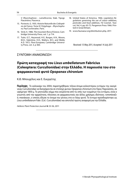V: Rhynchophora – Lamellicornia, Stab. Tipogr. Piacentino, Piacenca.

- 15. Portevin, G. 1935. Histoire Naturelle des Coléoptères de France, Tome IV: Polyphaga – Rhynchophora, Paul Lechevalier, Paris.
- 16. Strid, A. 1986. The mountain flora of Greece, Cambridge University Press, vol. 1, p 714.
- 17. Tutin, G.T., Heywood, H.V., Burges, A.N., Moore, M.D., Valentine, H.D., Walters, M.S. and Webb, A.D. 1972. Flora Europaea, Cambridge University Press, vol. 3, p 360.
- 18. United States of America. 1966. Legislation Regulations governing the use of colour additives, pesticides and food additives, Fd Cosmet. ToxicoL Vol. 4, pp. 63-72. Pergamon Press 1966. Printed in Great Britain.
- 19. www.faunaeur.org/distribution.php, 2011

Received: 15 May 2011, Accepted: 14 July 2011

# ΣΥΝΤΟΜΗ ΑΝΑΚΟΙΝΩΣΗ

# **Πρώτη καταγραφή του** *Lixus umbellatarum* **Fabricius (Coleoptera: Curculionidae) στην Ελλάδα. H παρουσία του στο φαρμακευτικό φυτό** *Opopanax chironium*

Κ.Θ. Μπουχέλος και Ε. Ευεργέτης

**Περίληψη** Το καλοκαίρι του 2004, παρατηρήθηκαν τέλεια άτομα κολεοπτέρου εντόμου της οικογένειας Curculionidae να διατρέφονται σε στελέχη φυτών Opopanax chironium στο Όρος Παρνασσός, σε υψόμετρο 1850 μ. Το ρητινώδες κόμμι που εκκρίνεται από τις οπές των νυγμάτων του εντόμου, είναι ο γνωστός από την αρχαιότητα, πλούσιος σε φαρμακευτικές και άλλες χρήσιμες ιδιότητες «οποπάναξ» ή «πανάκεια», ο οποίος έδωσε το όνομα του γένους στο εν λόγω φυτό. Το έντομο προσδιορίστηκε ως Lixus umbellatarum Fabr. (Col.: Curculionidae) και αποτελεί πρώτη αναφορά για την Ελλάδα.

Hellenic Plant Protection Journal **4:** 53-56, 2011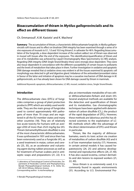# **Bioaccumulation of thiram in** *Mytilus galloprovincialis* **and its effect on different tissues**

# Ch. Emmanouil<sup>1</sup>, K.M. Kasiotis<sup>1</sup> and K. Machera<sup>1</sup>

**Summary** The accumulation of thiram, a characteristic dithiocarbamate fungicide, in Mytilus galloprovincialis soft tissues and its effect on bivalvian DNA integrity has been examined through a series of in vivo exposures of mussels to 0.1, 1.0 and 10.0 mg thiram/L in saltwater for 48 h. Regarding bioaccumulation of the fungicide, a dose-dependent increase of the sodium adduct ion of thiram was observed in mussel soft tissues after the end of the exposures. This identification/quantification of thiram and one of its metabolites was achieved by Liquid Chromatography Mass Spectrometry (LC-MS) analysis. Regarding DNA integrity (DNA Single Strand Breaks) these were strongly dose-dependent. They were also tissue-dependent in concordance with the different susceptibility of certain tissues to pollutants and the levels of metabolism that takes place in them. Further investigation in oxidative and apoptotic DNA damage revealed that a) oxidative stress was evident in all the tissues examined b) apoptotic cell morphology was detected in gill and digestive gland. Imbalance of the antioxidant/prooxidant status in favour of the latter and initiation of apoptosis may be a causative mechanism of DNA damage in M. galloprovincialis, as it has already been shown for DNA damage caused by thiram in mammals.

Additional Keywords: apoptosis, dithiocarbamates, LC-MS, mussel, oxidative stress, Single Strand Breaks

# **Introduction**

The dithiocarbamate class (DTCs) of fungicides comprises a group of plant protection products (PPP) which are widely used worldwide. They are the main group of fungicides used to control approximately 400 pathogens of more than 70 crops and are registered in all the EU member states and many other countries (18). They are of relatively low acute toxicity for humans with an average LD50 of more than 2523 mg/kg bw (41). Thiram (tetramethylthiuram disulfide) is one of the most characteristic dithiocarbamates. It was synthesized in 1931 and since then has been extensively used as a fungicide (41), as a seed treatment in maize, cotton and cereals (25, 35), as an accelerator and vulcanising agent during rubber processes as well as for treatment of human scabies and in antiseptic soaps and preparations (21, 22). It is also an intermediate metabolite of two other dithiocarbamates-ferbam and ziram (41). Several analytical methods are available for the detection and quantification of thiram and its metabolites. Gas chromatographic techniques have been applied with determination of carbon disulfide (CS<sub>2</sub>), the product of the rapid degradation of DTCs. However, these methods are laborious and this has directed scientists to the exploitation of LC-MS methods which offer the advantage of the direct determination of DTCs and thiram in particular.

Thiram, like the majority of dithiocarbamates, exerts its toxic action via creation of metabolites of carbon disulfide (43) and it is of low mammalian toxicity (17). However, in certain animal models it has caused hepatotoxicity (24, 25) and adverse developmental and reproductive effects (24, 27, 40). It has also caused eczema, contact dermatitis and skin lesions to exposed workers (21, 22, 40).

Since thiram is so extensively used, it is commonly found in aquatic environments (31). According to U.S. Environmental Pro-

<sup>1</sup> Laboratory of Toxicological Control of Pesticides, Department of Pesticides Control and Phytopharmacy, Benaki Phytopathological Institute, 8 St. Delta Str., GR-145 61 Kifissia, (Athens), Greece

Corresponding author: k.machera@bpi.gr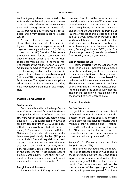tection Agency "thiram is expected to be sufficiently mobile and persistent in some cases to reach surface waters in concentrations high enough to impact aquatic life" (20). Moreover, it may not be readily catabolised and it may persist in soil for several weeks.

A series of in vivo experiments have shown that thiram may affect certain biological or biochemical aspects in aquatic organisms namely cladocerans (31), fish (6, 42) and mussels (15). The aim of the present project was to test for bioaccumulation and effects of thiram, which is in vivo non-clastogenic for mammals (19) in the model marine mussel of the Mediterranean Sea Mytilus galloprovincialis, in relation to tissue and dose. Following positive results, mechanistic aspects of this interaction have been sought (oxidative DNA damage and early apoptotic DNA damage). These pathways are implicated in thiram toxicity in mammals but they have not yet been examined in bivalve species.

# **Materials and Methods**

# **Test animals**

Commercially available Mytilus galloprovincialis from a mussel farm in Evia, Greece were purchased. Mussels of similar size (8-9 cm) were kept in continuously aerated glass aquaria of 15 L saltwater (salinity 33‰) at ambient temperature of 25°C, under natural light. The mussels were fed with approximately 0.05 g powdered Spirulina (M.Rohrer, Netherlands) every day. Nitrate and nitrite levels were periodically checked (API pharmaceuticals, USA) and they did not exceed 0.5 and 0.25  $\mu$ g mL<sup>-1</sup> respectively. The mussels were acclimatized in laboratory conditions for at least 5 days before the beginning of the experiments. These species absorb quickly contaminants from their environment but they depurate in an equally rapid manner when found in clean water (2).

# **Fungicide and Solvents**

A stock solution of 10 mg thiram/L was

prepared fresh in distilled water from commercially available thiram 80% w/w and was diluted to nominal concentrations of 0.1, 1.0 and 10.0 mg thiram/L in saltwater. Thiram analytical standard was purchased from Fluka (Buchs, Switzerland) and a stock solution of 100 μg mL<sup>-1</sup> was prepared in methanol. The working solutions were prepared from this stock solution in methanol. Methanol and acetonitrile were purchased from Merck (Darmstadt, Germany) and were LC-MS grade. Ethyl acetate (pro analysi) was also purchased from Merck (Darmstadt, Germany).

### **Experimental set up**

Healthy mussels from the aquaria were exposed in 2 L glass beakers (Simax, Czech Republic) at a density of 4 mussels/beaker to final concentrations of the agrochemical stated in 2.2. The exposures lasted for 48 h after which the animals were sacrificed. The water was changed every 12 h and was spiked with thiram after each renewal. During the exposure the animals were not fed. The general condition of the animals and the mortalities were recorded daily.

# **Chemical analysis**

### Soxhlet Extraction

Lyophilized mussels (7 g) were placed with equal amount of sodium sulfate at the bottom of the Soxhlet apparatus covered with glass wool. The solvent of choice was a mixture of ethyl acetate/hexane (1:1 respectively, 200 mL) and the extraction time was 4 h. After the extraction the solvent was removed in vacuum and the mixture was reconstituted with ethyl acetate (2 mL).

# Removal of sulfur compounds and Solid Phase Extraction (SPE)

The removal procedure was the following: 1 g of activated copper was added to the reconstituted mixture (2 mL) and stirred vigorously for 2 min. Centrifugation (Heraeus Labofuge 400R Thermo Electron Corporation) of the mixture was followed by the separation of the organic phase. Then the organic phase was passed from Flori-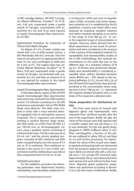sil SPE cartridge (Waters, SEP-PAK® Cartridges), filtered (Whatman, Puradisc™ 25 TF filters, 0.45 μm), evaporated under a gentle stream of nitrogen, reconstituted with acetonitrile (0.5 mL) and 10 μL were injected to Liquid Chromatograph Mass Spectrometer (LC/MS).

# Experimental Procedure for Extraction of Thiram from Water Samples

An aliquot of 2 mL of water sample was mixed with 2 mL of ethyl acetate (vortex, a MS1 Minishaker, IKA) for 2 minutes. Then the mixture was placed in an appropriate falcon tube (15 mL) and centrifuged at 4000 rpm for 5 min, at 4°C. The organic layer was collected, filtered (Whatman, Puradisc™ 25 TF filters, 0.45 μm), evaporated under a gentle stream of nitrogen, reconstituted with acetonitrile (0.5 mL) and then an amount of 10 μL was injected for analysis to the Liquid Chromatograph Mass Spectrometer.

### Liquid Chromatography Mass Spectrometry

A Shimadzu (Kyoto, Japan) LCMS-2010 EV Liquid Chromatograph Mass Spectrometer instrument was used with the LCMS solution version 3.0 software consisting of a SIL-20A prominence autosampler and an SPD-M20A diode array detector. The latter were coupled in series with a mass selective detector equipped with an atmospheric pressure ionization. The LC separation was achieved working in positive Electron Spray Ionization (ESI) mode, on a Shim-Pack XR-ODS 2.2 μm, 100×4.6 mm i.d. chromatographic column using a gradient system consisting of methanol and water. The flow rate was set at 0.8 mL min<sup>-1</sup> and the column gradient program consisted of 40% methanol and 60% water, ramped linearly over the course of 7.5 min at 70 % methanol. Then methanol returned in the course of 2 min at 60% concentration and the mobile phase was held at that composition from 9.5 min to 15 min.

### Validation procedure

For the validation procedure the following parameters were determined: linearity, repeatability, reproducibility, analytical Limit of Detection (LOD) and Limit of Quantification (LOQ), recoveries and matrix dependent variations as it is established by the EU guidelines. Linearity and matrix effect were assessed by analyzing standard solutions and matrix matched standards at six points in the range of 0.20-7.88  $\mu$ g mL $^{-1}$  to cover the expected range of concentrations in samples. Recovery values derived from fortified experiments at two levels of concentration and were considered as the measure of the trueness of the analytical method. For repeatability and reproducibility studies of the LC-MS methodology, five replicate determinations on the same day and on five different days of a standard solution (0.78 μg mL-1 of thiram) were performed. Repeatability and reproducibility is considered acceptable when relative standard deviation values (RSD%) are < 20%. Based on the statistical definition 3.3 (S $\! \! \! \sqrt{^{\vphantom{2}}_{\vphantom{2}}}\!\!} / \alpha$  and 10(S $\! \! \sqrt{^{\vphantom{2}}_{\vphantom{2}}}\!\!} / \alpha$ , of the LOD and LOQ respectively, they were determined at the concentration levels ranging from 0.20 to 7.88  $\mu$ g mL $^{\text{-1}}$ . S $\swarrow_{\mathsf{x}}$  represents the residual standard deviation and  $\alpha$  is the slope of the respective calibration plot.

# **Tissue preparation for biochemical assays**

The three main tissues of mussels (gill, digestive gland and haemolymph) were extracted from sacrificed animals after the end of the experiment. Briefly, for gills, the valves of the mussel were fully opened with a metallic scalpel and wet gill tissue (< 0.2 g) was extracted. The gill was gently disaggregated in HEPES buffered saline (2 mL). After centrifugation a fraction of the pellet was rediluted in saline (100 μL) and kept on ice until further processing. For haemolymph the valves of the mussel were slightly opened and haemolymph was abstracted from the posterior adductor muscle according to Rank and Jensen (36) with a 23G needle and a 1 mL syringe (PiC Insumed, Italy). Approximately 100 μL were abstracted from each animal and used without further treatment. Digestive gland suspension preparation was performed according to Birmelin et al. (8) with minor modifications. Briefly,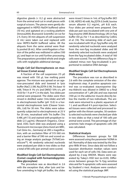digestive glands (< 0.2 g) were abstracted from the animal and cut in small pieces with surgical scissors. The pieces were gently disaggregated in HEPES-NaOH buffered saline (10 mL) and agitated on a rocking platform (Innova2000, Brunswick Scientific) on ice for 2 h. Every 30 min aliquots of cell suspension (2 mL) were taken out and replaced with new HEPES-NaOH buffered saline. All the aliquots from the same animal were finally pooled (8 mL). After centrifugation a fraction of the pellet was rediluted in saline (100 μL) and kept on ice until further processing. The preparations provided whole and single cells with negligible additional damage.

# **Single Cell Gel Electrophoresis on mussel tissue (Comet assay)**

A fraction of the cell suspension (15 μl) was mixed with 150 μL low melting point agarose. The mixture was spread on an agarose-precoated slide and lowered in lysis buffer (NaCl 2.5M, Na<sub>2</sub>EDTA 0.1M, Tris base 10 mM, Triton-X 1% v/v and DMSO 10% v/v, pH 10.0) for 1 h at 4º C in the dark. Two slides per animal were prepared. The slides were then rinsed in distilled water (1mL/slide) and left in electrophoresis buffer (pH 13.0) in a horizontal electrophoresis tank (Cleaver Scientific, Ltd) for 30 min. The slides were subsequently subjected to electrophoresis at 25 V for 20 min, neutralised with Tris buffer (Tris 0.4M, pH 7.5) and stained with propidium iodide (2.5 μg/mL) (Research Organics, Cleveland, USA). Each slide was analyzed using a fluorescent microscope (Zeiss AxioCam MRC, Carl Zeiss Inc., Germany) at 200 x magnification, with an excitation filter of 515-560 nm and a barrier filter of 590 nm and scored using an image analysis package (TriTekCometScore<sup>™</sup>). 40 randomly selected nucleoids were analyzed per slide in two slides so that a total of 80 cells (per animal) were scored.

# **Modifi ed Single Cell Gel Electrophoresis (Comet coupled with formamidopyrimidine glycosylase)**

The procedure was as described in 2.6 with the exception that, after lysis and before unwinding in high pH buffer, the slides were rinsed 3 times in 1mL of Fpg buffer (KCl 0.1M, HEPES 40 mM, Na<sub>2</sub>EDTA 0.5mM, bovine serum albumin 0.2 mg/mL, pH 8.0) each. Four slides per animal were prepared. One slide per pair was incubated with one unit of Fpg enzyme (AMS Biotechnology, UK) in Fpg buffer (50  $\mu$ L) for 1 h as described by Collins et al. (14). The remaining slide of each pair was incubated with 50 uL Fpg buffer only. 80 randomly selected nucleoids were analyzed from the non-Fpg incubated slides and 80 randomly selected nucleoids were analyzed from the Fpg incubated slides. A total of 160 cells were scored. The net difference (Fpg-incubated minus non Fpg-incubated) is proportional to oxidative DNA damage.

# **Modified Single Cell Gel Electrophoresis (Halo assay)**

The procedure was run as described in 2.6 with the complete omission of the electrophoresis step. A positive apoptosis control was co-evaluated: staurosporine (Sigma-Aldrich) was diluted in DMSO to a final concentration of 1 μΜ (26) and was injected (100 μL) in the adductor muscle directly below the mantle of two individuals. The animals were returned to a plastic aquarium of 1 L and sacrificed 4 h post-injection. Selected tissues were collected and processed together with the thiram samples. 50 randomly selected nucleoids were checked per slide in two slides so that a total of 100 cells per animal were scored. The percentage of characteristic halo images of apoptotic cells (39) was calculated.

### **Statistical Analysis**

Differences between groups for SSB were assessed using the parameter %DNA in tail. Normality of data was tested by the Shapiro-Wilk W-test. Since data did not follow a Gaussian distribution median values were used for each set of cells (16). Data were analyzed by 2-way ANOVA. Means were separated by Tukey's HSD test ( $\alpha$ =0.05). Differences between groups for % Fpg sensitive sites and for % apoptotic cells were assessed by Student's t-test. Analyses were conducted using the statistical package JMP.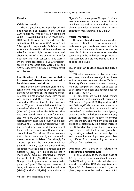# **Results**

# **Validation results**

The analytical method applied produced good response of linearity in the range of  $0.20$ -7.88  $\mu$ g mL<sup>-1</sup> with correlation coefficient value  $r^2 = 0.998$  (equation, y=241932x-4695). LOD and LOQ were determined from the calibration plot and were 0.32  $\mu$ g mL<sup>-1</sup> and 0.96 μg mL-1 respectively. Satisfactory results were obtained for all levels with recoveries for low and high concentrations, well above the cut off value of 70%. RSDs % for both low and high concentrations were < 5% therefore acceptable. RSDs % for repeatability and reproducibility were 3.69% and 4.49% respectively. Finally no matrix effect was observed.

# **Identifi cation of thiram, accumulation in mussel soft tissues and concentration levels in aqueous solutions**

The identification of thiram (6.61 min, retention time) was achieved by the LC-ESI-MS system functioning on the positive mode. Selected Ion Monitoring mode (SIM mode) was applied and the characteristic sodium adduct [M+Na]+ ion of thiram was observed (Figure 1). Accumulation of thiram in mussel soft tissues for exposure of 0.1 mg/L (100 μg/kg) was below the LOD and thus not quantitated. Accumulation for the 1.0 and 10.0 mg/L (1000 and 10000 μg/kg correspondingly) exposure group was 375 μg/ kg d.w. and 3115 μg/kg d.w respectively (Table 1). Next step was the determination of the actual concentrations of thiram in aqueous solutions. Thus three different concentration levels were investigated same with those presented in Table 1. Surprisingly for 0.1 and 1  $\mu$ g mL<sup>-1</sup> the only peak which appeared (3.55 min, retention time) and was identified was the peak of another sodium adduct  $[C_{3}H_{7}NS_{2}+Na]^{+}$  (47). It seems that in more dilute aqueous solutions of thiram the peak of  $[C_3H_7NS_2+Na]^+$  predominates. One possible fragmentation pathway is depicted in Figure 2. The aqueous solution of 10 μg m $L<sup>-1</sup>$  contained both sodium adducts  $[M+Na]^+$  and  $[C_3H_7NS_2+Na]^+$  as it is shown in Figure 3. For the sample of 10  $\mu$ g mL<sup>-1</sup>, thiram was determined as the sum of areas of peaks which correspond to thiram and its metabolite as equivalent of thiram. The sum concentration measured was 8.19  $\mu$ g mL<sup>-1</sup>.

# **Mussel mortality**

The general condition of the animals (i.e. reaction to stimuli, excretion of mucus, attachment to glass-walls) was recorded daily and dead animals were discarded as soon as possible. Profuse mucus secretion was detected only in the high dose groups. Mortalities were low and did not exceed 12.5 % in all exposed groups.

# **SSB in relation to dose group and tissue type**

SSB values were affected by both tissue and dose, while there was significant interaction between dose and tissue (Table 2). Since significant interaction was observed, multiple comparisons were conducted at each tissue for all doses and at each dose for all tissues (Figure 4).

For gill, exposure to 0.1 mg/L thiram caused a statistically significant increase in SSB (see also Figure 5A,B). Higher doses (1.0 and 10.0 mg/L) also caused an increase in relation to control but these were indistinguishable from each other. For haemolymph, exposure to the high dose only (10.00 mg/L) caused an increase in relation to control whereas the low and medium dose did not produce a statistically significant increase in SSB. For digestive gland there was also a dose response with the low dose group being indistinguishable from the control group and the medium and high dose groups being different from the control group but not different from each other.

# **Oxidative DNA damage in relation to dose group and tissue type**

For gill, exposure to the medium dose of 1.0 mg/L caused a very significant increase (P<0.001) in Fpg-sensitive sites which correspond to oxidative DNA damage (see also Figure 5C). For haemolymph and digestive gland, exposure to the medium dose of 1.0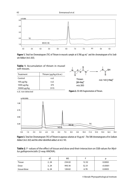

Figure 1. Total Ion Chromatogram (TIC) of Thiram in mussels sample at 0.788 μg mL<sup>-1</sup> and the chromatogram of its Sodium Adduct (m/z 263).

**Table 1**. Accumulation of thiram in mussel soft tissues.

| <b>Table</b> 1. Accumulation of thiram in mussel<br>soft tissues. |                       | .S.                                              |                            |
|-------------------------------------------------------------------|-----------------------|--------------------------------------------------|----------------------------|
| Treatment                                                         | Thiram (µg/kg d.b.w.) |                                                  |                            |
| Control                                                           | n.d.                  | Thiram                                           | m/z 143 [+Na] <sup>+</sup> |
| $100 \mu q/kg$                                                    | n.d.                  | $[M+Na]^+$                                       |                            |
| $1000 \mu g/kg$                                                   | 375                   | $m/z$ 263                                        |                            |
| 10000 µg/kg                                                       | 3115                  |                                                  |                            |
| n.d.: non detected                                                |                       | <b>Figure 2.</b> ESI-MS fragmentation of Thiram. |                            |



**Figure 3.** Total Ion Chromatogram (TIC) of Thiram in aqueous solution at 10 μg mL-1. The SIM chromatograms of its Sodium Adduct (m/z 263) and the other identified adduct at m/z 143.

Table 2. F- values of the effect of tissue and dose and their interaction on SSB values for Mytilus galloprovincialis (2-way ANOVA).

|               | df    | MS     |       | р        |
|---------------|-------|--------|-------|----------|
| <b>Tissue</b> | 2, 24 | 234.02 | 12.32 | 0.0002   |
| Dose          | 3,24  | 993.18 | 52.31 | < 0.0001 |
| tissue/dose   | 6, 24 | 128.82 | 6.78  | 0.0003   |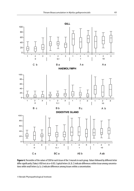

Figure 4. Percentiles of the values of SSB for each tissue of the 3 mussels in each group. Values followed by different letter differ significantly (Tukey's HSD test at  $a=0.05$ ). Capital letters (A, B, C) indicate differences within tissue among concentrations while small letters (a, b, c) indicate differences among tissues within a concentration.

© Benaki Phytopathological Institute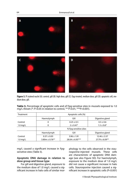

Figure 5. PI stained nuclei (A): control, gill (B): high dose, gill (C): Fpg-treated, medium dose, gill (D): apoptotic cell, medium dose, gill.

| Table 3. Percentage of apoptotic cells and of Fpg-sensitive sites in mussels exposed to 1.0 |  |
|---------------------------------------------------------------------------------------------|--|
| mg/L thiram (*: P<0.05 in relation to control, ** P<0.01, *** P<0.001).                     |  |

| Treatment          | Apoptotic cells (%)                   |                     |                    |  |  |
|--------------------|---------------------------------------|---------------------|--------------------|--|--|
|                    | Gill<br>Haemolymph<br>Digestive gland |                     |                    |  |  |
| Control            | 0                                     | $0.25 \pm 0.5$      | $0.5 \pm 0.6$      |  |  |
| $1.0 \text{ mg/L}$ | 0                                     | $2 \pm 0.41*$       | $1.5 \pm 0.6*$     |  |  |
|                    | % Fpg sensitive sites                 |                     |                    |  |  |
|                    | Haemolymph                            | Gill                | Digestive gland    |  |  |
| Control            | $0.37 \pm 0.05$                       | $3.96 \pm 1.91$     | $12.46 \pm 3.57$   |  |  |
| $1.0 \text{ mg/L}$ | $3.80m \pm 0.76**$                    | $28.04 \pm 6.93***$ | $27.79 \pm 6.09**$ |  |  |

mg/L caused a significant increase in Fpgsensitive sites (Table 3).

# **Apoptotic DNA damage in relation to dose group and tissue type**

For gill and digestive gland, exposure to the medium dose of 1.0 mg/L caused a signifi cant increase in halo cells of similar morphology to the cells observed in the staurosporine-injected mussels. These cells are characteristic of apoptotic DNA damage (see also Figure 5D). For haemolymph, exposure to the medium dose of 1.0 mg/L did not cause a significant increase in halo cells. Staurosporine injection caused a significant increase in apoptotic cells (P<0.001)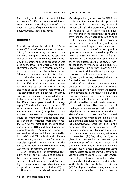for all cell types in relation to control. Injection and/or DMSO does not cause additional DNA damage as proved by a series of experiments in tissues of Mytilus edulis and Mytilus galloprovincialis (data not shown)

# **Discussion**

Even though thiram is toxic to fish (19), bivalves (Unio tumidus) were able to withstand 0.1 mg/L thiram for 3 days without mortalities (15). Taking into account the apparent lack of thiram LC50 for bivalves in bibliography, the aforementioned concentration was used as the lowest one which can elicit biochemical responses. This concentration elicited responses in some of M. galloprovincialis tissues as mentioned later in this section.

Usually, the determination of thiram is associated with its decomposition to carbon disulfide  $(\mathsf{CS}_2)$  in acidic medium, followed mainly by spectrometry (5, 12, 38) and head space gas chromatography (1, 34). The drawback of these methods is that they are time consuming and they also lack of selectivity or sensitivity Another way to detect DTCs is to employ Liquid Chromatography (LC) and capillary electrophoresis (CE) with UV and/or electrochemical detection. Recently Blasco et al. (10) applied a quantitative matrix solid-phase dispersion and liquid chromatography-atmospheric pressure chemical ionization mass spectrometry (LC-APCI-MS) method for the simultaneous analysis of DTCs and their degradation products in plants. Among the compounds analyzed was thiram which was detected by both APCI and ESI methods with different corresponding ions each time. This method was also applied here and was able to detect concentration-related differences in the way mussels bioaccumulate thiram.

Even though the concentrations tested were high, only certain signs of morbidity (profuse mucus secretion and delayed reaction to stimuli) were observed. Similarly, high concentrations of agrochemicals have not produced mortalities in bivalves (37).

Thiram is not considered genotoxic in

vivo, despite being Ames positive (19). In vitro alkaline filter elution has also produced positive results (increase in SSB) in rat and human cells (9). The discrepancy between in vivo and in vitro results for thiram is further mirrored in the experiments conducted by Villani et al. (45), where exposure of mice to the maximum tolerated dose caused a borderline increase in SSB in lymphocytes and no increase in splenocytes. In contrast, concomitant exposure of human lymphocytes to thiram in vitro caused a significant increase in SSB. Our results for Mytilus galloprovincialis can therefore mostly relate to the in vitro outcomes of Bjørge et al. (9) rather than to the in vivo ones of Villani et al. (45). Bivalves possess unique physiology and biochemistry quite different from higher organisms. As a result, innocuous substances for higher organisms may be biologically active for bivalves and vice versa.

The effect of thiram (SSB increase) was different in each tissue as shown in Figures 4 and 5 and there was a significant interaction between dose and tissue (Table 2). The route of exposure (water-spiking) may be an important factor for gill susceptibility since gill cells would be the first ones to come into contact with thiram. The direct contact of the large surface area of gills with the diluted pollutants may also contribute to this (3). This difference may also stem from the cell subpopulations: whereas the main gill cell type and the agranular haemocytes of Mytilus galloprovincialis were sensitive to the genotoxic effects of benzo[a]pyrene (BaP), the agranular ones which are present at varied concentrations were relatively refractory to these effects (44). Regarding the digestive gland, it is considered to be the main organ of metabolism of organic xenobiotics and the main site of biotransformation enzyme activities (8). As a result a number of reactive intermediates produced may directly attack vicinal digestive gland DNA. Furthermore, the highly condensed chromatin of digestive gland nuclei which creates additional alkali labile sites also contributes to % tail DNA (33). This higher baseline damage may have masked here the effect of thiram, at least in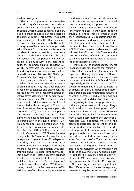the low dose group.

Thiram, in the present experiments, has caused a significant increase in oxidative DNA damage as measured through Fpg incubation, which quantifies mainly 8-oxo-dG but also other damaged purines according to Collins et al. (14). This increase was most prominent in gill cells rather than in haemocytes and in digestive gland cells. The metabolic system of bivalves, even though markedly different from the mammalian ones is capable of producing oxidizing intermediates (28) which in their turn affect the cell's metabolism and components (46). For example, in a similar way to the present results, the common aquatic pollutant BaP which necessitates metabolic activation to redox quinones to exert its toxic action, caused formation of 8-oxo-dG in Mytilus galloprovincialis digestive gland (2, 29).

An oxidative mode of action is not unusual for thiram as it has been shown in other animal models. Any imbalance between prooxidant substances and antioxidant defenses in favor of the prooxidants causes oxidative stress associated with damage to cellular macromolecules (40). Thiram has acted as a potent oxidative agent in the liver of broilers fed with this fungicide. The activities of the antioxidant enzymes superoxide dismutase (SOD) and glutathione peroxidase (GSH-Px) were decreased and this lowering of antioxidant defenses has led to lipid peroxidation in the liver of broilers (27). Thiram has also caused deregulation in activities of key antioxidant enzymes (catalase, GSH-Px, SOD, glutathione reductase) in an in vitro model of V79 Chinese hamster ovary cells (22). These results may be partly explained by glutathione (GSH) depletion caused by thiram (13, 23). GSH offers one of the most efficient non-enzymatic protective mechanisms by its conjugation with electrophilic and/or oxidised components. Thiram however possesses a reactive disulfide bond which may react with thiols of critical cellular proteins such as GSH forming mixed disulfides and other products (23), thus rendering them inactive. Furthermore, the GSH redox cycle offers the reducing equivalents

for thiram reduction in the cell, minimizing in this way the regeneration of reduced GSH. In more detail, it is postulated that dithiocarbamates undergo oxidation by  $Cu<sup>2+</sup>$ ions within the cell to their corresponding thiuram disulfides. These intermediates are then reduced by GSH, regenerating the parent compound and oxidized glutathione (11). GSH aberrant metabolism due to thiram was further corroborated in studies in V79 CHC which showed a decrease in total GSH/oxidised GSH ratio (22). Therefore, the pro-oxidant effects of thiram are considered to be indirect and mainly due to the lowering of antioxidant defenses.

Finally, a series of important experiments in aquatic organisms showed that thiram oxidative effects are not peculiar to terrestrial organisms. Namely, incubation of Onchorhynchus mykiss liver with thiram led to loss or decrease of activity of SOD and GSH-Px respectively (6). Exposure of the mussel Unio tumidus to thiram has also caused decrease of activity of selenium-dependent glutathione peroxidase and glutathione reductase as well as decrease in reduced and oxidised GSH in both gills and digestive gland (15).

Regarding testing for apoptosis, apoptotic cells give a characteristic image of large fan-like tail and small head (ghost cells) in the conventional comet assay. However due to their extensive fragmentation, they may become lost during the electrophoresis step (32). In contrast, omission of the electrophoresis step but retention of alkaline unwinding in the alkaline halo assay depicts successfully the unique morphology of apoptotic cells which present a difuse, spotted halo and a pin-like head clearly delineated from the halo (39). The assay has here revealed a significant increase in apoptotic cells in gills and digestive glands but no increase in haemolymph when mussels were exposed to 1.00 mg/L thiram (approximately 4 μM) for 48 h. In related bibliography, triclosan (3 nM) caused more extensive damage (approximately 16%) after 48 h exposure to Dreissena polymorpha haemolymph (45). This difference cannot be readily explained, however it may be linked to the apoptotic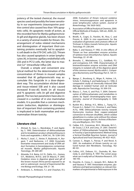potency of the tested chemical, the mussel species used and possibly the lower sensitivity in our experiments (staurosporine positive control also caused less than 16% apoptotic cells). An apoptotic mode of action, as this recorded here for Mytilus galloprovincialis gill and digestive glands, has been shown in a variety of animal models for thiram. Disarrangement of redox related mechanisms and disintegration of important thiol-containing proteins eventually led to apoptotic cell death in the V79 CHC cells (22). Thiram has also caused apoptosis in avian lymphocytes (4), in bovine capillary endothelial cells (30) and in PC12 cells, the latter due to massive  $Ca^{2+}$  intracellular influx (24).

Overall, a simple and convenient analytical method for the determination of the concentration of thiram in mussel samples revealed that M. galloprovincialis may accumulate this fungicide in a dose-dependent way. This accumulation elicited doseand tissue-related SSB and it also caused increased 8-oxo-dG levels (in all tissues) and % apoptotic cells (in gill and digestive gland). The two last parameters have also increased in a number of in vivo mammalian models. It is possible that a common mechanism (reduction, depletion or disintegration of important thiol-containing proteins) is implicated in both mammalian and nonmammalian thiram toxicity.

# **Literature cited**

- 1. Ahmad, N., Guo, L., Mandrakas, P. and Appleby, S. 1995. Determination of dithiocarbamate and its breakdown product ethylenethiourea in fruits and vegetables J. AOAC Int., 78: 1238-1243.
- 2. Akcha, F., Izuel., C., Venier, P., Budzinski, H., Burgeot, T. and Narbonne, J.-F. 2000. Enzymatic biomarker measurement and study of DNA adduct formation in benzo[a]pyrene-contaminated mussels, Mytilus galloprovincialis. Aquatic Toxicology., 49: 269-287.
- 3. Almeida, E.A, Bainy, A.C.D., Dafre, A.L., Gomes, O.F., Medeiros, M.H.G. and Di Mascio, P. 2005. Oxidative stress in digestive gland and gill of the brown mussel (Perna perna) exposed to air and re-submersed. Journal of Experimental Marine Biology and Ecology, 318: 21– 30.
- 4. Ambwani, S., Ambwani, T.J. and Chauhan, R.S.

8. Birmelin, C., Mitchelmore, C.L., Goldfarb, P.S. and Livingstone, D.R. 1998. Characterisation of

Toxicology. 91: 238-244.

Toxicology, 22 : 61-68.

lington, USA

biotransformation enzyme activities and DNA integrity in isolated cells of the digestive gland of the common mussel, Mytilus edulis L. Comparative Biochemistry and Physiology Part A, 120: 51- 56.

2008. Evaluation of thiram induced oxidative stress, immunosuppression and apoptosis in avian lymphocytes culture system. Journal of

5. Association of Official Analytical Chemists, 2000. Official Methods of Analysis, 16th ed., AOAC, Ar-

6. Binelli, A., Cogni, D., Parolini, M., Riva, C. and Provini, A. 2009. In vivo experiments for the evaluation of genotoxic and cytotoxic effects of Triclosan in Zebra mussels hemocytes. Aquatic

7. Babo, S. and Vasseur, P. 1992. In vitro effects of Thiram on liver antioxidant enzyme activities of rainbow trout (Oncorhynchus mykiss). Aquatic

Biotechnology, 136: S620-S632.

- 9. Bjørge, C., Brunborg, G., Wiger, R., Holme, J.A., Scholz, T., Dybing, E. and Søderlung, E.J. 1996. A comparative study of chemically induced DNA damage in isolated human and rat testicular cells. Reproductive Toxicology, 10: 509-519.
- 10. Blasco, C., Font, G. and Picó, Y. 2004. Determination of dithiocarbamates and metabolites in plants by liquid chromatography-mass spectrometry. Journal of Chromatography A, 1028: 267-276.
- 11. Burkitt M.J., Bishop, H.S., Milne, L., Tsang S.Y., Provan G.J., Nobel C.S.I., Orrenius S. and Slater, A.F.G, 1998. Dithiocarbamate toxicity towards thymocytes involves their copper-catalyzed conversion to thiuram disulfides, which oxidize glutathione in a redox cycle without the release of reactive oxygen species. Archives of Biochemistry and Biophysics, 353: 73-84.
- 12. Caldas, E.D., Conceicao, M.H., Miranda, M.C.C., de Souza, L.C.K.R. and Lima, J.F. 2001. Determination of Dithiocarbamate Fungicide Residues in Food by a Spectrophotometric Method Using a Vertical Disulfide Reaction System. Journal of Agricultural and Food Chemistry, 49: 4521-4525.
- 13. Careser, C., Boget, S., Parvaz, P. and Revol, A. 2001. An evaluation of thiram toxicity on cultured human skin fibroblasts. Toxicology, 162: 89-101.
- 14. Collins, A.R., Dobson, V.L., Dusinska, M., Kennedy, G. and Stetina, R. 1997. The comet assay: what can it really tell us? Mutation Research, 375: 183-193.
- 15. Doyotte, A., Cossu, C., Jacquin, M.C., Babut, M. and Vasseur, P. 1997. Antioxidant enzymes, glutathione and lipid peroxidation as relevant biomarkers of experimental or field exposure in the

© Benaki Phytopathological Institute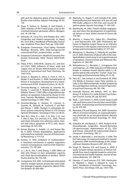gills and the digestive gland of the freshwater bivalve Unio tumidus. Aquatic Toxicology, 39: 93- 110.

- 16. Duez, P., Dehon, G., Kumps, A. and Dubois, J. 2003. Statistics of the Comet assay: a key to discriminate between genotoxic effects. Mutagenesis, 18: 159-166.
- 17. Edwards, I.R., Ferry, D.H. and Temple, W.A. 1991. Fungicides and related compounds. In: Hayes, W.J. et al. (Eds.), Handbook of Pesticides Toxicology. Academic Press, New York, pp. 1436-1469.
- 18. European Commission, Food Safety, Pesticide Residues, Brussels, 2002, http://europa.eu.int/ comm/food/fs/ph\_ps/pest/index\_en.htm
- 19. European Commission- Health & Consumer Protection Directorate. 2003. Thiram, 6507/VI/99- Final.
- 20. Filipe, O.M.S., Vidal M.M., Duarte, A.C. and Santos E.B.H. 2008. Influence of fulvic acids and copper ions on thiram determination in water. Journal of Agricultural and Food Chemistry, 56: 7347-7354.
- 21. Girotti, S., Maiolini, E., Ghini, S., Ferri, E., Fini, F., Nodet, P. and Eremin, S. 2008. Quantification of thiram in honeybees: development of a chemiluminescent ELISA. Analytical Letters, 41: 46-55.
- 22. Grosicka-Maciąg, E., Sadurska, B., Szumilo, M., Grzela, T., Lazarcyk, P., Niderla-Bielinska, J. and Rahden-Staron, I. 2005. Effect of glutathione depletion on apoptosis induced by thiram in Chinese hamster fibroblasts. International Immunopharmacology, 5: 1945-1956.
- 23. Grosicka-Maciąg, E., Kurpios, D., Czeczot, H., Szumilo, M., Skrzycki, M., Suchocki, P. and Rahden-Staron, I. 2008. Changes in antioxidant defense systems induced by thiram in V79 Chinese hamster fibroblasts. Toxicology In Vitro, 22: 28-35.
- 24. Han, M.S., Shin, K.-J., Kim, Y.-H., Kim, S.-H., Lee, T., Kim E., Ryu, S.H. and Suh, P.-G., 2003. Thiram and ziram stimulate non-selective cation channel and induce apoptosis in PC12 cells. Neurotoxicology, 24: 425-434.
- 25. Kumar Sharma, V., Aulakh, J.S. and Kumar Malik, A. 2003. Thiram: degradation, applications and analytical methods. Journal of Environmental Monitoring, 5: 717-723.
- 26. Kurelec, B. 1995. Inhibition of multixenobiotic resistance mechanism in aquatic organisms: ecotoxic consequences. Science of the Total Environment, 171: 197-204.
- 27. Li, J., Bi, D., Pan, S. and Zhang, Y. 2007. Effect of diet with thiram on liver antioxidant capacity and tibial dyschondroplasia in broilers. British Poultry Science, 48: 724-728.
- 28. Livingstone, D.R. 2001. Contaminant-stimulated reactive oxygen species production and oxidative damage in aquatic organisms. Marine Pollution Bulletin, 42: 656-666.
- 29. Machella, N., Regoli, F. and Santella R.M. 2005. Immunofluorescent detection of 8-oxo-dG and PAH bulky adducts in fish liver and mussel digestive gland. Aquatic Toxicology, 71: 335-343.
- 30. Marikovsky, M. 2002. Thiram inhibits angiogenesis and slows the development of experimental tumors in mice. British Journal of Cancer, 86: 779-787.
- 31. Martins, J., Soares, M.L., Saker, M.L., OlivaTeles, L. and Vasconcelos, V.M. 2007. Phototactic behavior in Daphnia magna Straus as an indicator of toxicants in the aquatic environment. Ecotoxicology and Environmental Safety, 67: 417-422.
- 32. Meintieres, S., Nesslany, F., Pallardy, M. and Marzin, D. 2003. Detection of ghost cells in the standard alkaline comet assay is not a good measure of apoptosis. Environmental and Molecular Mutagenesis, 41: 260-269.
- 33. Mitchelmore, C.L., Birmelin, C., Livingstone, D.R. and Chipman, J.K. 1998. Detection of DNA strand breaks in isolated mussel (Mytilus edulis L.) digestive gland cells using the ''comet'' assay. Ecotoxicology and Environmental Safety, 41: 51-58.
- 34. Perz, R.C., Van Lishaut, H. and Schwack, W. 2000. CS2 Blinds in brassica crops: False positive results in the dithiocarbamate residue analysis by the acid digestion method. Journal of Agricultural and Food Chemistry, 48: 792–796.
- 35. Pesticide Manual, 9th Edition, 1991. In: Worthing C.R. & Hance R.J. (eds), British Crop Protection Council, Surrey, UK, pp. 822-823.
- 36. Rank, J. and Jensen, K. 2003. Comet assay on gill cells and hemocytes from the blue mussel Mytilus edulis. Ecotoxicology and Environmental Safety, 54: 323-329.
- 37. Revankar, P.R and Shyama, S.K. 2009. Genotoxic effects of monocrotophos, an organophosphorous pesticide, on an estuarine bivalve, Meretrix ovum. Food and Chemical Toxicology, 47: 1618– 1623.
- 38. Schwack, W. and Nyanzi, S. 1994. Analysis of dithiocarbamate fungicides. Second-derivative UV-spectroscopic determination of  $CS_2$ , COS, and thiram. Zeitschrift für Lebensmittel-Untersuchung und –Forschung, 198: 3-7.
- 39. Sestili, P., Martinelli, C. and Stocchi, V. 2006. The fast halo assay: An improved method to quantify genomic DNA strand breakage at the singlecell level. Mutation Research, 607: 205-214.
- 40. Singh, B., Sharma, D.K. and Gupta, A. 2009. A study towards release dynamics of thiram fungicide from starch-alginate beads to control environmental and health hazards. Journal of Hazardous Materials, 161: 208-216.
- 41. Stevens, J.T. and Sumner, D.D. 1991. Herbicides. In: Wayland J., Hayes Jr, Edward R., Laws Jr. (eds.), Handbook of Pesticide Toxicology. Academic Press, San Diego, USA, pp. 1333-1336.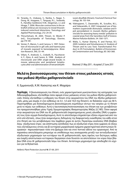- 42. Teraoka, H., Urakawa, S., Nanba, S., Nagai, Y., Dong, W., Imagawa, T., Tanguay, R.L., Svoboda, K., Handley-Goldstone H.M., Stegeman, J.J. and Hiraga, T. 2006. Muscular contractions in the zebrafish embryo are necessary to reveal thiuraminduced notochord distortions. Toxicology and Applied Pharmacology, 212: 24-34.
- 43. Thiruchelvam, M. 2005. Thiram. In: Wexler P. (ed.), Encyclopedia of Toxicology, Elsevier, pp.179-181.
- 44. Venier, P., Maron, S. and Canova, S. 1997. Detection of micronuclei in gill cells and haemocytes of mussels exposed to benzo[a]pyrene. Mutation Research, 390, 33–44.
- 45. Villani, P., Andreoli, C., Crebelli, R., Pacchierotti, F., Zijno, A. and Carere, A. 1998. Analysis of micronuclei and DNA single-strand breaks in mouse splenocytes and peripheral lymphocytes after oral administration of tetramethylth-

iuram disulfide (thiram). Food and Chemical Toxicology, 36: 155-164.

- 46. Vlahogianni, T., Dassenakis, M., Scoullos, M.J., and Valavanidis, A. 2007. Integrated use of biomarkers (superoxide dismutase, catalase and lipid peroxidation) in mussels Mytilus galloprovincialis for assessing heavy metals' pollution in coastal areas from the Saronikos Gulf of Greece. Marine Pollution Bulletin, 54 :1361-1371.
- 47. Walia, S., Kumar Sharma, R. and Parmar, B.S. 2009. Isolation and Simultaneous LC Analysis of Thiram and Its Less Toxic Transformation Product in DS Formulation. Bulletin of Environmental Contamination and Toxicology, 83: 363-368.

Received: 21 May 2011 ; Accepted: 27 June 2011

# **Μελέτη βιοσυσσώρευσης του thiram στους μαλακούς ιστούς του μυδιού** *Mytilus galloprovincialis*

Χ. Εμμανουήλ, Κ.Μ. Κασιώτης και Κ. Μαχαίρα

**Περίληψη** Η βιοσυσσώρευση του thiram, ενός χαρακτηριστικού μυκητοκτόνου της κατηγορίας των διθειοκαρβαμιδικών, εξετάσθηκε όσον αφορά στους μαλακούς ιστούς του μυδιού Mytilus galloprovincialis. Επίσης εξετάσθηκε η επίδραση του thiram στην ακεραιότητα του DNA του Mytilus galloprovincialis, μέσω μια σειράς in vivo εκθέσεων σε 0,1, 1,0 and 10,0 mg thiram/L σε θαλάσσιο νερό για 48 h. Παρατηρήθηκε μια δοσοεξαρτώμενη βιοσυσσώρευση συμπλόκων ιόντων του νατρίου με το thiram μετά το πέρας των εκθέσεων. Αυτή η ταυτοποίηση/ποσοτικοποίηση του thiram και των μεταβολιτών του πραγματοποιήθηκε μέσω Υγρής Χρωματογραφίας Φασματομετρίας Μάζας (LC-MS). Όσον αφορά στην ακεραιότητα του DNA του M. galloprovincialis (παρατηρούμενες μονές αλυσίδες DNA) η εμφάνισή τους ήταν ισχυρά δοσοεξαρτώμενη. Αυτό το αποτέλεσμα επηρεάστηκε εξίσου σημαντικά από τον ιστό υπό εξέταση , όπως ήταν αναμενόμενο, δεδομένης της διαφορετικής ευαισθησίας του κάθε ιστού στο thiram και του μεταβολισμού που λαμβάνει χώρα σε αυτόν. Περαιτέρω αναλύσεις DNA βλαβών λόγω οξειδωτικού στρες και απόπτωσης κατέδειξαν πως α) οξειδωτικό στρες ήταν εμφανές σε όλους τους εξεταζόμενους ιστούς και β) κυτταρικά μορφολογικά σχήματα χαρακτηριστικά αποπτωτικών διεργασιών παρουσιάστηκαν τόσο στα βράγχια όσο και στον πεπτικό αδένα του οργανισμού. Από τα παραπάνω αποτελέσματα μπορούμε να υποθέσουμε πως ανισορροπία μεταξύ των αντιοξειδωτικών/ οξειδωτικών μηχανισμών των κυττάρων του M. galloprovincialis, προς όφελος των δεύτερων, καθώς και έναρξη αποπτωτικών κυτταρικών διεργασιών είναι δυνατόν να αποτελέσουν τον κύριο λόγο βλαβών DNA στον M. galloprovincialis λόγω του thiram. Αντίστοιχοι μηχανισμοί έχει αποδειχθεί ότι ισχύουν για τα θηλαστικά.

Hellenic Plant Protection Journal **4:** 57-69, 2011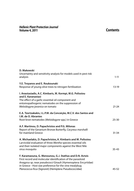# *Hellenic Plant Protection Journal* **Volume 4, 2011**

# **Contents**

| D. Makowski<br>Uncertainty and sensitivity analysis for models used in pest risk<br>analysis                                          | $1 - 11$  |
|---------------------------------------------------------------------------------------------------------------------------------------|-----------|
| Y.E. Troyanos and E. Roukounaki                                                                                                       |           |
| Response of young olive trees to nitrogen fertilization                                                                               | $13-19$   |
| I. Anastasiadis, A.C. Kimbaris, M. Kormpi, M.G. Polissiou<br>and E. Karanastasi                                                       |           |
| The effect of a garlic essential oil component and                                                                                    |           |
| entomopathogenic nematodes on the suppression of<br>Meloidogyne javanica on tomato                                                    | $21 - 24$ |
|                                                                                                                                       |           |
| E.A. Tzortzakakis, I.L.P.M. da Conceição, M.C.V. dos Santos and<br>I.M. de O. Abrantes                                                |           |
| Root-knot nematodes (Meloidogyne spp.) in Greece                                                                                      | $25 - 30$ |
| A.F. Martinou, D. Papachristos and P.G. Milonas<br>Report of the Geranium Bronze Butterfly, Cacyreus marshalli<br>for mainland Greece | $31 - 34$ |
| A. Michaelakis, D. Papachristos, A. Kimbaris and M. Polissiou                                                                         |           |
| Larvicidal evaluation of three Mentha species essential oils<br>and their isolated major components against the West Nile             |           |
| virus mosquito                                                                                                                        | $35 - 43$ |
| F. Karamaouna, G. Menounou, G.J. Stathas and D.N. Avtzis<br>First record and molecular identification of the parasitoid               |           |
| Anagyrus sp. near pseudococci Girault (Hymenoptera: Encyrtidae)                                                                       |           |
| in Greece - Host size preference for the vine mealybug                                                                                |           |
| Planococcus ficus (Signoret) (Hemiptera: Pseudococcidae)                                                                              | $45 - 52$ |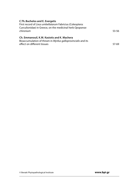| <b>C.Th. Buchelos and E. Evergetis</b>                         |       |
|----------------------------------------------------------------|-------|
| First record of Lixus umbellatarum Fabricius (Coleoptera:      |       |
| Curculionidae) in Greece, on the medicinal herb Opopanax       |       |
| chironium                                                      | 53-56 |
| Ch. Emmanouil, K.M. Kasiotis and K. Machera                    |       |
| Bioaccumulation of thiram in Mytilus galloprovincialis and its |       |
| effect on different tissues                                    | 57-69 |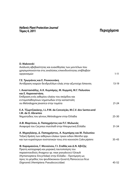# **Περιεχόμενα** *Hellenic Plant Protection Journal* **Τόμος 4, 2011**

| D. Makowski<br>Ανάλυση αβεβαιότητας και ευαισθησίας των μοντέλων που<br>χρησιμοποιούνται στις αναλύσεις επικινδυνότητας επιβλαβών                                                                                                                                                   |           |
|-------------------------------------------------------------------------------------------------------------------------------------------------------------------------------------------------------------------------------------------------------------------------------------|-----------|
| οργανισμών                                                                                                                                                                                                                                                                          | $1 - 11$  |
| Γ.Ε. Τρωγιάνος και Ε. Ρουκουνάκη<br>Αντίδραση νεαρών δενδρυλλίων ελιάς στην αζωτούχο λίπανση                                                                                                                                                                                        | $13-19$   |
|                                                                                                                                                                                                                                                                                     |           |
| Ι. Αναστασιάδης, Α.Κ. Κυμπάρης, Μ. Κορμπή, Μ.Γ. Πολυσίου<br>και Ε. Καραναστάση                                                                                                                                                                                                      |           |
| Επίδραση ενός αιθερίου ελαίου του σκόρδου και                                                                                                                                                                                                                                       |           |
| εντομοπαθογόνων νηματωδών στην καταστολή                                                                                                                                                                                                                                            |           |
| ου Meloidogyne javanica στην τομάτα                                                                                                                                                                                                                                                 | $21 - 24$ |
| E.A. Τζωρτζακάκης, I.L.P.M. da Conceição, M.C.V. dos Santos and<br>I.M. de O. Abrantes                                                                                                                                                                                              |           |
| Νηματώδεις του γένους Meloidogyne στην Ελλάδα                                                                                                                                                                                                                                       | $25 - 30$ |
| Α.Φ. Μαρτίνου, Δ. Παπαχρήστος και Π.Γ. Μυλωνάς                                                                                                                                                                                                                                      |           |
| Αναφορά του Cacyreus marshalli στην Ηπειρωτική Ελλάδα                                                                                                                                                                                                                               | $31 - 34$ |
| Α. Μιχαηλάκης, Δ. Παπαχρήστος, Α. Κυμπάρης και Μ. Πολυσίου<br>Τοξική δράση των αιθέριων ελαίων τριών ειδών Mentha spp.                                                                                                                                                              |           |
| και των κυριότερων συστατικών τους στο κουνούπι Culex pipiens                                                                                                                                                                                                                       | $35 - 43$ |
| Φ. Καραμαούνα, Γ. Μενούνου, Γ.Ι. Σταθάς και Δ.Ν. Αβτζής<br>Πρώτη καταγραφή και μοριακή ταυτοποίηση του<br>παρασιτοειδούς Anagyrus sp. near pseudococci Girault<br>(Hymenoptera: Encyrtidae) στην Ελλάδα – Προτίμηση ως<br>προς το μέγεθος του ψευδόκοκκου-ξενιστή Planococcus ficus |           |
| (Signoret) (Hemiptera: Pseudococcidae)                                                                                                                                                                                                                                              | 45-52     |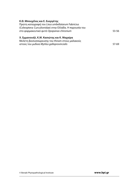| Κ.Θ. Μπουχέλος και Ε. Ευεργέτης                         |       |
|---------------------------------------------------------|-------|
| Πρώτη καταγραφή του Lixus umbellatarum Fabricius        |       |
| (Coleoptera: Curculionidae) στην Ελλάδα. Η παρουσία του |       |
| στο φαρμακευτικό φυτό Opopanax chironium                | 53-56 |
| Χ. Εμμανουήλ, Κ.Μ. Κασιώτης και Κ. Μαχαίρα              |       |
| Μελέτη βιοσυσσώρευσης του thiram στους μαλακούς         |       |
| ιστούς του μυδιού Mytilus galloprovincialis             | 57-69 |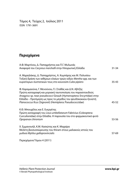Τόμος 4, Τεύχος 2, Ιούλιος 2011 ISSN 1791-3691

# **Περιεχόμενα**

| Α.Φ. Μαρτίνου, Δ. Παπαχρήστος και Π.Γ. Μυλωνάς<br>Αναφορά του Cacyreus marshalli στην Ηπειρωτική Ελλάδα                                                                                                                                                        | 31-34     |
|----------------------------------------------------------------------------------------------------------------------------------------------------------------------------------------------------------------------------------------------------------------|-----------|
| Α. Μιχαηλάκης, Δ. Παπαχρήστος, Α. Κυμπάρης και Μ. Πολυσίου                                                                                                                                                                                                     |           |
| Τοξική δράση των αιθέριων ελαίων τριών ειδών Mentha spp. και των<br>κυριότερων συστατικών τους στο κουνούπι Culex pipiens                                                                                                                                      | $35 - 43$ |
| Φ. Καραμαούνα, Γ. Μενούνου, Γ.Ι. Σταθάς και Δ.Ν. Αβτζής<br>Πρώτη καταγραφή και μοριακή ταυτοποίηση του παρασιτοειδούς<br>Anagyrus sp. near pseudococci Girault (Hymenoptera: Encyrtidae) στην<br>Ελλάδα – Προτίμηση ως προς το μέγεθος του ψευδόκοκκου-ξενιστή |           |
| Planococcus ficus (Signoret) (Hemiptera: Pseudococcidae)                                                                                                                                                                                                       | 45-52     |
| Κ.Θ. Μπουχέλος και Ε. Ευεργέτης<br>Πρώτη καταγραφή του Lixus umbellatarum Fabricius (Coleoptera:<br>Curculionidae) στην Ελλάδα. Η παρουσία του στο φαρμακευτικό φυτό                                                                                           |           |
| Opopanax chironium                                                                                                                                                                                                                                             | 53-56     |
| Χ. Εμμανουήλ, Κ.Μ. Κασιώτης και Κ. Μαχαίρα<br>Μελέτη βιοσυσσώρευσης του thiram στους μαλακούς ιστούς του<br>μυδιού Mytilus galloprovincialis                                                                                                                   | 57-69     |
| Περιεχόμενα Τόμου 4 (2011)                                                                                                                                                                                                                                     |           |